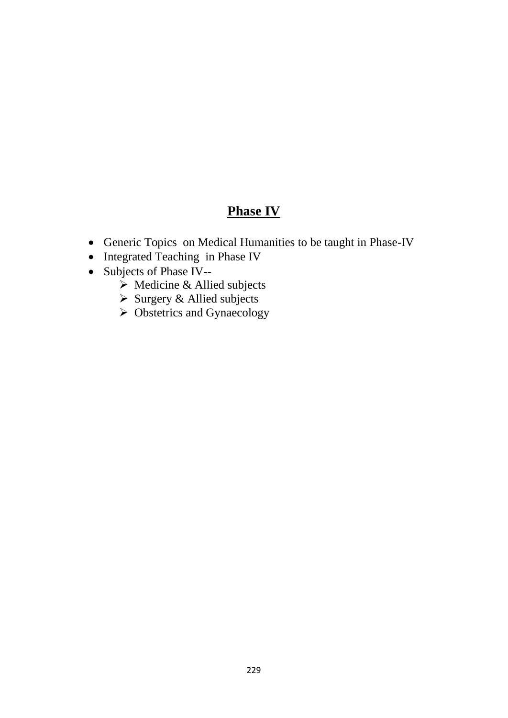# **Phase IV**

- Generic Topics on Medical Humanities to be taught in Phase-IV
- Integrated Teaching in Phase IV
- Subjects of Phase IV--
	- ➢ Medicine & Allied subjects
	- ➢ Surgery & Allied subjects
	- ➢ Obstetrics and Gynaecology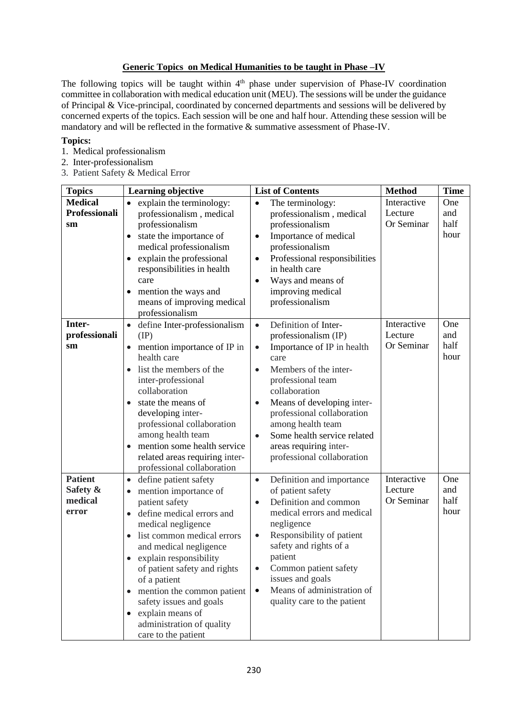## **Generic Topics on Medical Humanities to be taught in Phase –IV**

The following topics will be taught within 4<sup>th</sup> phase under supervision of Phase-IV coordination committee in collaboration with medical education unit (MEU). The sessions will be under the guidance of Principal & Vice-principal, coordinated by concerned departments and sessions will be delivered by concerned experts of the topics. Each session will be one and half hour. Attending these session will be mandatory and will be reflected in the formative & summative assessment of Phase-IV.

- 1. Medical professionalism
- 2. Inter-professionalism
- 3. Patient Safety & Medical Error

| <b>Topics</b>  | <b>Learning objective</b>                 | <b>List of Contents</b>                    | <b>Method</b> | <b>Time</b> |
|----------------|-------------------------------------------|--------------------------------------------|---------------|-------------|
| <b>Medical</b> | explain the terminology:<br>$\bullet$     | The terminology:<br>$\bullet$              | Interactive   | One         |
| Professionali  | professionalism, medical                  | professionalism, medical                   | Lecture       | and         |
| sm             | professionalism                           | professionalism                            | Or Seminar    | half        |
|                | state the importance of<br>$\bullet$      | Importance of medical<br>$\bullet$         |               | hour        |
|                | medical professionalism                   | professionalism                            |               |             |
|                | explain the professional<br>$\bullet$     | Professional responsibilities<br>$\bullet$ |               |             |
|                | responsibilities in health                | in health care                             |               |             |
|                | care                                      | Ways and means of<br>$\bullet$             |               |             |
|                | mention the ways and                      | improving medical                          |               |             |
|                | means of improving medical                | professionalism                            |               |             |
|                | professionalism                           |                                            |               |             |
| Inter-         | define Inter-professionalism<br>$\bullet$ | Definition of Inter-<br>$\bullet$          | Interactive   | One         |
| professionali  | $(\text{IP})$                             | professionalism (IP)                       | Lecture       | and         |
| sm             | mention importance of IP in<br>$\bullet$  | Importance of IP in health<br>$\bullet$    | Or Seminar    | half        |
|                | health care                               | care                                       |               | hour        |
|                | list the members of the<br>$\bullet$      | Members of the inter-                      |               |             |
|                | inter-professional                        | professional team                          |               |             |
|                | collaboration                             | collaboration                              |               |             |
|                | state the means of<br>$\bullet$           | Means of developing inter-<br>$\bullet$    |               |             |
|                | developing inter-                         | professional collaboration                 |               |             |
|                | professional collaboration                | among health team                          |               |             |
|                | among health team                         | Some health service related                |               |             |
|                | mention some health service<br>$\bullet$  | areas requiring inter-                     |               |             |
|                | related areas requiring inter-            | professional collaboration                 |               |             |
|                | professional collaboration                |                                            |               |             |
| <b>Patient</b> | define patient safety<br>$\bullet$        | Definition and importance<br>$\bullet$     | Interactive   | One         |
| Safety &       | mention importance of                     | of patient safety                          | Lecture       | and         |
| medical        | patient safety                            | Definition and common<br>$\bullet$         | Or Seminar    | half        |
| error          | define medical errors and<br>$\bullet$    | medical errors and medical                 |               | hour        |
|                | medical negligence                        | negligence                                 |               |             |
|                | list common medical errors<br>$\bullet$   | Responsibility of patient<br>$\bullet$     |               |             |
|                | and medical negligence                    | safety and rights of a                     |               |             |
|                | explain responsibility                    | patient                                    |               |             |
|                | of patient safety and rights              | Common patient safety                      |               |             |
|                | of a patient                              | issues and goals                           |               |             |
|                | mention the common patient                | Means of administration of<br>$\bullet$    |               |             |
|                | safety issues and goals                   | quality care to the patient                |               |             |
|                | explain means of<br>٠                     |                                            |               |             |
|                | administration of quality                 |                                            |               |             |
|                | care to the patient                       |                                            |               |             |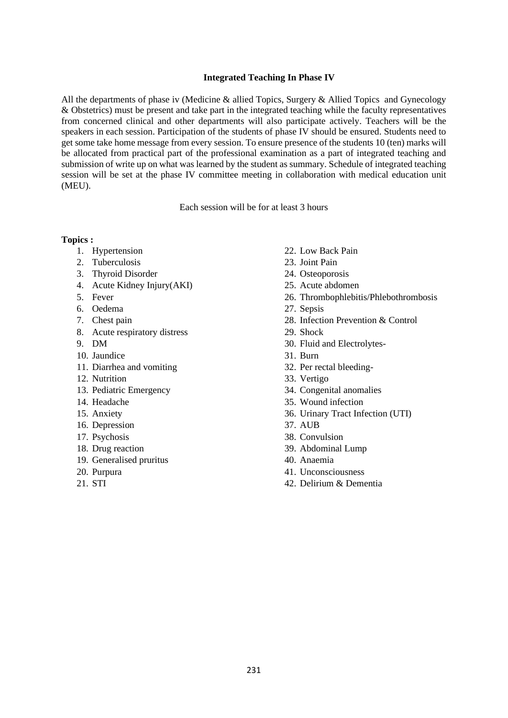#### **Integrated Teaching In Phase IV**

All the departments of phase iv (Medicine & allied Topics, Surgery & Allied Topics and Gynecology & Obstetrics) must be present and take part in the integrated teaching while the faculty representatives from concerned clinical and other departments will also participate actively. Teachers will be the speakers in each session. Participation of the students of phase IV should be ensured. Students need to get some take home message from every session. To ensure presence of the students 10 (ten) marks will be allocated from practical part of the professional examination as a part of integrated teaching and submission of write up on what was learned by the student as summary. Schedule of integrated teaching session will be set at the phase IV committee meeting in collaboration with medical education unit (MEU).

Each session will be for at least 3 hours

- 1. Hypertension
- 2. Tuberculosis
- 3. Thyroid Disorder
- 4. Acute Kidney Injury(AKI)
- 5. Fever
- 6. Oedema
- 7. Chest pain
- 8. Acute respiratory distress
- 9. DM
- 10. Jaundice
- 11. Diarrhea and vomiting
- 12. Nutrition
- 13. Pediatric Emergency
- 14. Headache
- 15. Anxiety
- 16. Depression
- 17. Psychosis
- 18. Drug reaction
- 19. Generalised pruritus
- 20. Purpura
- 21. STI
- 22. Low Back Pain
- 23. Joint Pain
- 24. Osteoporosis
- 25. Acute abdomen
- 26. Thrombophlebitis/Phlebothrombosis
- 27. Sepsis
- 28. Infection Prevention & Control
- 29. Shock
- 30. Fluid and Electrolytes-
- 31. Burn
- 32. Per rectal bleeding-
- 33. Vertigo
- 34. Congenital anomalies
- 35. Wound infection
- 36. Urinary Tract Infection (UTI)
- 37. AUB
- 38. Convulsion
- 39. Abdominal Lump
- 40. Anaemia
- 41. Unconsciousness
- 42. Delirium & Dementia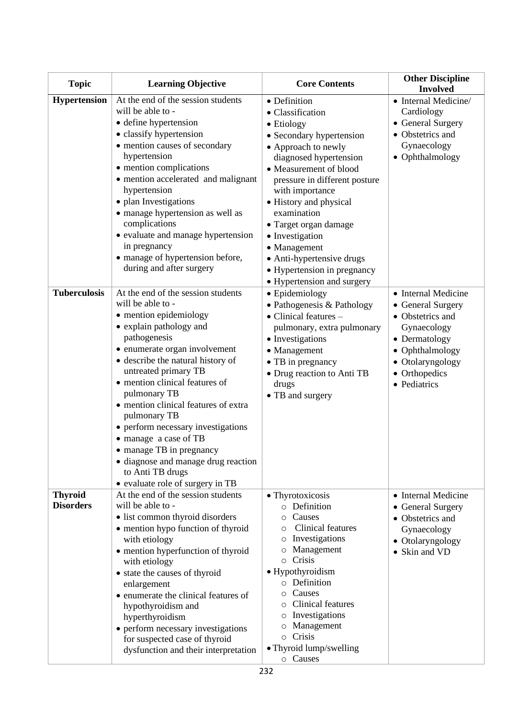| <b>Topic</b>                               | <b>Learning Objective</b>                                                                                                                                                                                                                                                                                                                                                                                                                                                                                     | <b>Core Contents</b>                                                                                                                                                                                                                                                                                                                                                                                                                                             | <b>Other Discipline</b><br><b>Involved</b>                                                                                                                     |
|--------------------------------------------|---------------------------------------------------------------------------------------------------------------------------------------------------------------------------------------------------------------------------------------------------------------------------------------------------------------------------------------------------------------------------------------------------------------------------------------------------------------------------------------------------------------|------------------------------------------------------------------------------------------------------------------------------------------------------------------------------------------------------------------------------------------------------------------------------------------------------------------------------------------------------------------------------------------------------------------------------------------------------------------|----------------------------------------------------------------------------------------------------------------------------------------------------------------|
| <b>Hypertension</b><br><b>Tuberculosis</b> | At the end of the session students<br>will be able to -<br>• define hypertension<br>• classify hypertension<br>• mention causes of secondary<br>hypertension<br>• mention complications<br>• mention accelerated and malignant<br>hypertension<br>· plan Investigations<br>· manage hypertension as well as<br>complications<br>· evaluate and manage hypertension<br>in pregnancy<br>• manage of hypertension before,<br>during and after surgery<br>At the end of the session students<br>will be able to - | · Definition<br>• Classification<br>$\bullet$ Etiology<br>• Secondary hypertension<br>• Approach to newly<br>diagnosed hypertension<br>• Measurement of blood<br>pressure in different posture<br>with importance<br>• History and physical<br>examination<br>• Target organ damage<br>• Investigation<br>• Management<br>• Anti-hypertensive drugs<br>• Hypertension in pregnancy<br>• Hypertension and surgery<br>· Epidemiology<br>• Pathogenesis & Pathology | • Internal Medicine/<br>Cardiology<br>• General Surgery<br>• Obstetrics and<br>Gynaecology<br>• Ophthalmology<br>• Internal Medicine<br><b>General Surgery</b> |
|                                            | • mention epidemiology<br>• explain pathology and<br>pathogenesis<br>· enumerate organ involvement<br>• describe the natural history of<br>untreated primary TB<br>• mention clinical features of<br>pulmonary TB<br>• mention clinical features of extra<br>pulmonary TB<br>• perform necessary investigations<br>• manage a case of TB<br>• manage TB in pregnancy<br>• diagnose and manage drug reaction<br>to Anti TB drugs<br>• evaluate role of surgery in TB                                           | $\bullet$ Clinical features $-$<br>pulmonary, extra pulmonary<br>• Investigations<br>• Management<br>• TB in pregnancy<br>• Drug reaction to Anti TB<br>drugs<br>• TB and surgery                                                                                                                                                                                                                                                                                | • Obstetrics and<br>Gynaecology<br>• Dermatology<br>• Ophthalmology<br>• Otolaryngology<br>• Orthopedics<br>• Pediatrics                                       |
| <b>Thyroid</b><br><b>Disorders</b>         | At the end of the session students<br>will be able to -<br>· list common thyroid disorders<br>• mention hypo function of thyroid<br>with etiology<br>• mention hyperfunction of thyroid<br>with etiology<br>• state the causes of thyroid<br>enlargement<br>• enumerate the clinical features of<br>hypothyroidism and<br>hyperthyroidism<br>• perform necessary investigations<br>for suspected case of thyroid<br>dysfunction and their interpretation                                                      | • Thyrotoxicosis<br>Definition<br>Causes<br>Ω<br><b>Clinical features</b><br>O<br>Investigations<br>O<br>Management<br>O<br>Crisis<br>O<br>• Hypothyroidism<br>Definition<br>Causes<br>Ω<br><b>Clinical features</b><br>Ω<br>Investigations<br>O<br>Management<br>O<br>Crisis<br>$\circ$<br>• Thyroid lump/swelling<br>o Causes                                                                                                                                  | • Internal Medicine<br>• General Surgery<br>• Obstetrics and<br>Gynaecology<br>• Otolaryngology<br>• Skin and VD                                               |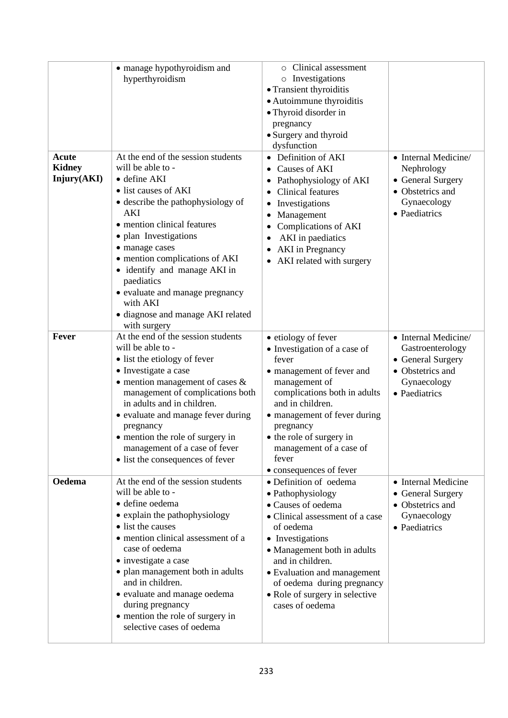| <b>Acute</b><br><b>Kidney</b><br>Injury(AKI) | • manage hypothyroidism and<br>hyperthyroidism<br>At the end of the session students<br>will be able to -<br>· define AKI<br>• list causes of AKI<br>• describe the pathophysiology of<br><b>AKI</b><br>• mention clinical features<br>· plan Investigations<br>· manage cases<br>· mention complications of AKI<br>• identify and manage AKI in<br>paediatics<br>• evaluate and manage pregnancy<br>with AKI                                    | Clinical assessment<br>Investigations<br>$\circ$<br>• Transient thyroiditis<br>· Autoimmune thyroiditis<br>• Thyroid disorder in<br>pregnancy<br>• Surgery and thyroid<br>dysfunction<br>Definition of AKI<br>Causes of AKI<br>Pathophysiology of AKI<br><b>Clinical features</b><br>Investigations<br>Management<br>Complications of AKI<br>AKI in paediatics<br><b>AKI</b> in Pregnancy<br>AKI related with surgery | • Internal Medicine/<br>Nephrology<br>• General Surgery<br>• Obstetrics and<br>Gynaecology<br>• Paediatrics       |
|----------------------------------------------|--------------------------------------------------------------------------------------------------------------------------------------------------------------------------------------------------------------------------------------------------------------------------------------------------------------------------------------------------------------------------------------------------------------------------------------------------|-----------------------------------------------------------------------------------------------------------------------------------------------------------------------------------------------------------------------------------------------------------------------------------------------------------------------------------------------------------------------------------------------------------------------|-------------------------------------------------------------------------------------------------------------------|
| Fever                                        | · diagnose and manage AKI related<br>with surgery<br>At the end of the session students<br>will be able to -<br>• list the etiology of fever<br>• Investigate a case<br>$\bullet$ mention management of cases $\&$<br>management of complications both<br>in adults and in children.<br>• evaluate and manage fever during<br>pregnancy<br>• mention the role of surgery in<br>management of a case of fever<br>• list the consequences of fever | • etiology of fever<br>• Investigation of a case of<br>fever<br>• management of fever and<br>management of<br>complications both in adults<br>and in children.<br>• management of fever during<br>pregnancy<br>• the role of surgery in<br>management of a case of<br>fever<br>• consequences of fever                                                                                                                | • Internal Medicine/<br>Gastroenterology<br>• General Surgery<br>• Obstetrics and<br>Gynaecology<br>• Paediatrics |
| <b>Oedema</b>                                | At the end of the session students<br>will be able to -<br>· define oedema<br>• explain the pathophysiology<br>• list the causes<br>• mention clinical assessment of a<br>case of oedema<br>• investigate a case<br>• plan management both in adults<br>and in children.<br>• evaluate and manage oedema<br>during pregnancy<br>• mention the role of surgery in<br>selective cases of oedema                                                    | · Definition of oedema<br>• Pathophysiology<br>• Causes of oedema<br>• Clinical assessment of a case<br>of oedema<br>• Investigations<br>• Management both in adults<br>and in children.<br>• Evaluation and management<br>of oedema during pregnancy<br>• Role of surgery in selective<br>cases of oedema                                                                                                            | • Internal Medicine<br>• General Surgery<br>• Obstetrics and<br>Gynaecology<br>• Paediatrics                      |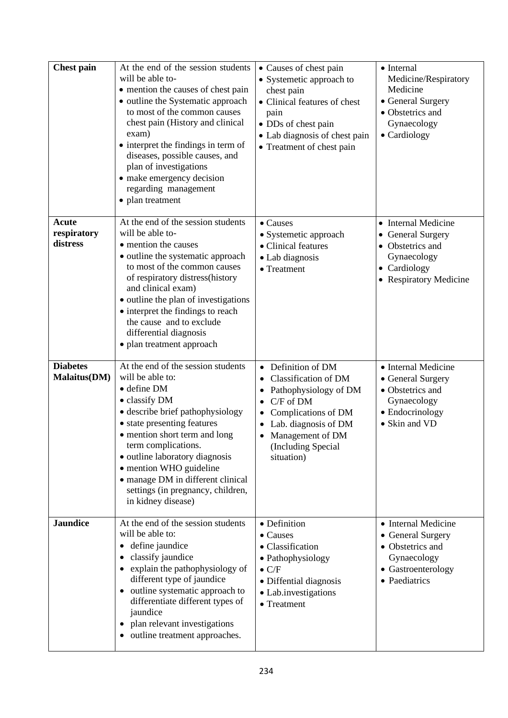| <b>Chest</b> pain                       | At the end of the session students<br>will be able to-<br>• mention the causes of chest pain<br>• outline the Systematic approach<br>to most of the common causes<br>chest pain (History and clinical<br>exam)<br>• interpret the findings in term of<br>diseases, possible causes, and<br>plan of investigations<br>• make emergency decision<br>regarding management<br>• plan treatment | • Causes of chest pain<br>• Systemetic approach to<br>chest pain<br>• Clinical features of chest<br>pain<br>• DDs of chest pain<br>• Lab diagnosis of chest pain<br>• Treatment of chest pain                                                                      | • Internal<br>Medicine/Respiratory<br>Medicine<br>• General Surgery<br>• Obstetrics and<br>Gynaecology<br>• Cardiology |
|-----------------------------------------|--------------------------------------------------------------------------------------------------------------------------------------------------------------------------------------------------------------------------------------------------------------------------------------------------------------------------------------------------------------------------------------------|--------------------------------------------------------------------------------------------------------------------------------------------------------------------------------------------------------------------------------------------------------------------|------------------------------------------------------------------------------------------------------------------------|
| <b>Acute</b><br>respiratory<br>distress | At the end of the session students<br>will be able to-<br>• mention the causes<br>• outline the systematic approach<br>to most of the common causes<br>of respiratory distress (history<br>and clinical exam)<br>• outline the plan of investigations<br>• interpret the findings to reach<br>the cause and to exclude<br>differential diagnosis<br>• plan treatment approach              | $\bullet$ Causes<br>• Systemetic approach<br>• Clinical features<br>• Lab diagnosis<br>$\bullet$ Treatment                                                                                                                                                         | • Internal Medicine<br>• General Surgery<br>• Obstetrics and<br>Gynaecology<br>• Cardiology<br>• Respiratory Medicine  |
| <b>Diabetes</b><br><b>Malaitus(DM)</b>  | At the end of the session students<br>will be able to:<br>· define DM<br>• classify DM<br>• describe brief pathophysiology<br>• state presenting features<br>• mention short term and long<br>term complications.<br>· outline laboratory diagnosis<br>• mention WHO guideline<br>• manage DM in different clinical<br>settings (in pregnancy, children,<br>in kidney disease)             | Definition of DM<br>$\bullet$<br><b>Classification of DM</b><br>$\bullet$<br>Pathophysiology of DM<br>٠<br>C/F of DM<br>$\bullet$<br>Complications of DM<br>Lab. diagnosis of DM<br>$\bullet$<br>Management of DM<br>$\bullet$<br>(Including Special<br>situation) | • Internal Medicine<br>• General Surgery<br>• Obstetrics and<br>Gynaecology<br>• Endocrinology<br>• Skin and VD        |
| <b>Jaundice</b>                         | At the end of the session students<br>will be able to:<br>define jaundice<br>٠<br>classify jaundice<br>٠<br>explain the pathophysiology of<br>٠<br>different type of jaundice<br>outline systematic approach to<br>٠<br>differentiate different types of<br>jaundice<br>plan relevant investigations<br>٠<br>outline treatment approaches.                                                 | • Definition<br>• Causes<br>• Classification<br>• Pathophysiology<br>$\bullet$ C/F<br>• Diffential diagnosis<br>• Lab.investigations<br>$\bullet$ Treatment                                                                                                        | • Internal Medicine<br>• General Surgery<br>• Obstetrics and<br>Gynaecology<br>• Gastroenterology<br>Paediatrics       |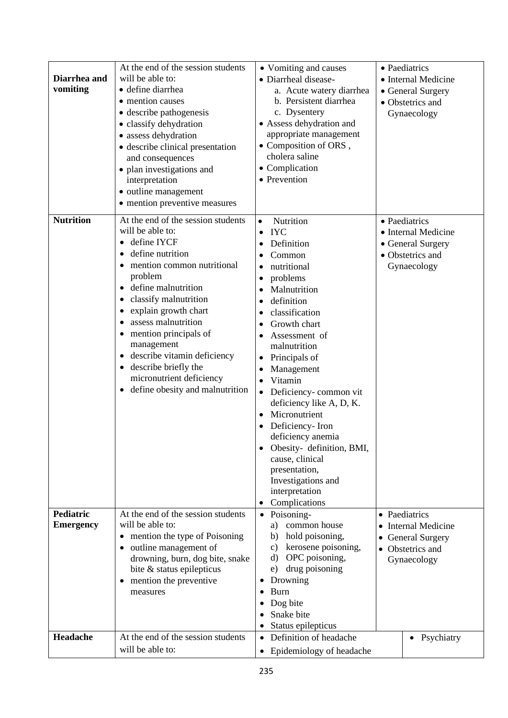| Diarrhea and<br>vomiting                          | At the end of the session students<br>will be able to:<br>• define diarrhea<br>• mention causes<br>• describe pathogenesis<br>• classify dehydration<br>• assess dehydration<br>• describe clinical presentation<br>and consequences<br>• plan investigations and<br>interpretation<br>• outline management<br>• mention preventive measures                                                                                                                                                | • Vomiting and causes<br>• Diarrheal disease-<br>a. Acute watery diarrhea<br>b. Persistent diarrhea<br>c. Dysentery<br>• Assess dehydration and<br>appropriate management<br>• Composition of ORS,<br>cholera saline<br>• Complication<br>• Prevention                                                                                                                                                                                                                                                                                                                                                                                    |                | • Paediatrics<br>• Internal Medicine<br>• General Surgery<br>• Obstetrics and<br>Gynaecology                                              |
|---------------------------------------------------|---------------------------------------------------------------------------------------------------------------------------------------------------------------------------------------------------------------------------------------------------------------------------------------------------------------------------------------------------------------------------------------------------------------------------------------------------------------------------------------------|-------------------------------------------------------------------------------------------------------------------------------------------------------------------------------------------------------------------------------------------------------------------------------------------------------------------------------------------------------------------------------------------------------------------------------------------------------------------------------------------------------------------------------------------------------------------------------------------------------------------------------------------|----------------|-------------------------------------------------------------------------------------------------------------------------------------------|
| <b>Nutrition</b><br>Pediatric<br><b>Emergency</b> | At the end of the session students<br>will be able to:<br>define IYCF<br>٠<br>define nutrition<br>٠<br>mention common nutritional<br>problem<br>define malnutrition<br>٠<br>classify malnutrition<br>explain growth chart<br>٠<br>assess malnutrition<br>mention principals of<br>٠<br>management<br>describe vitamin deficiency<br>describe briefly the<br>٠<br>micronutrient deficiency<br>define obesity and malnutrition<br>٠<br>At the end of the session students<br>will be able to: | Nutrition<br>$\bullet$<br><b>IYC</b><br>$\bullet$<br>Definition<br>$\bullet$<br>Common<br>٠<br>nutritional<br>٠<br>problems<br>$\bullet$<br>Malnutrition<br>٠<br>definition<br>٠<br>classification<br>٠<br>Growth chart<br>٠<br>Assessment of<br>malnutrition<br>Principals of<br>$\bullet$<br>Management<br>$\bullet$<br>Vitamin<br>$\bullet$<br>Deficiency-common vit<br>$\bullet$<br>deficiency like A, D, K.<br>Micronutrient<br>Deficiency-Iron<br>deficiency anemia<br>Obesity- definition, BMI,<br>cause, clinical<br>presentation,<br>Investigations and<br>interpretation<br>Complications<br>• Poisoning-<br>common house<br>a) |                | • Paediatrics<br>• Internal Medicine<br>• General Surgery<br>• Obstetrics and<br>Gynaecology<br>• Paediatrics<br><b>Internal Medicine</b> |
|                                                   | mention the type of Poisoning<br>٠<br>outline management of<br>٠<br>drowning, burn, dog bite, snake<br>bite & status epilepticus<br>mention the preventive<br>measures                                                                                                                                                                                                                                                                                                                      | hold poisoning,<br>b)<br>kerosene poisoning,<br>C)<br>OPC poisoning,<br>d)<br>drug poisoning<br>e)<br>Drowning<br>Burn<br>٠<br>Dog bite<br>Snake bite<br>Status epilepticus                                                                                                                                                                                                                                                                                                                                                                                                                                                               | ٠<br>$\bullet$ | <b>General Surgery</b><br>Obstetrics and<br>Gynaecology                                                                                   |
| Headache                                          | At the end of the session students<br>will be able to:                                                                                                                                                                                                                                                                                                                                                                                                                                      | Definition of headache<br>$\bullet$<br>• Epidemiology of headache                                                                                                                                                                                                                                                                                                                                                                                                                                                                                                                                                                         |                | • Psychiatry                                                                                                                              |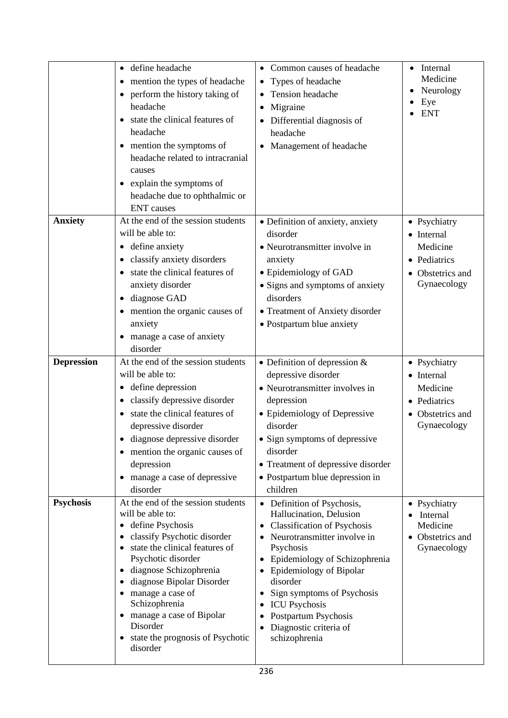|                   | define headache<br>$\bullet$<br>mention the types of headache<br>٠<br>perform the history taking of<br>headache<br>state the clinical features of<br>headache<br>mention the symptoms of<br>٠<br>headache related to intracranial<br>causes<br>explain the symptoms of<br>٠<br>headache due to ophthalmic or<br><b>ENT</b> causes                                    | Common causes of headache<br>Types of headache<br>٠<br>Tension headache<br>Migraine<br>Differential diagnosis of<br>headache<br>Management of headache                                                                                                                                                                                                          | Internal<br>$\bullet$<br>Medicine<br>Neurology<br>Eye<br><b>ENT</b>                       |
|-------------------|----------------------------------------------------------------------------------------------------------------------------------------------------------------------------------------------------------------------------------------------------------------------------------------------------------------------------------------------------------------------|-----------------------------------------------------------------------------------------------------------------------------------------------------------------------------------------------------------------------------------------------------------------------------------------------------------------------------------------------------------------|-------------------------------------------------------------------------------------------|
| <b>Anxiety</b>    | At the end of the session students<br>will be able to:<br>define anxiety<br>٠<br>classify anxiety disorders<br>state the clinical features of<br>anxiety disorder<br>diagnose GAD<br>٠<br>mention the organic causes of<br>٠<br>anxiety<br>manage a case of anxiety<br>disorder                                                                                      | • Definition of anxiety, anxiety<br>disorder<br>• Neurotransmitter involve in<br>anxiety<br>• Epidemiology of GAD<br>• Signs and symptoms of anxiety<br>disorders<br>• Treatment of Anxiety disorder<br>• Postpartum blue anxiety                                                                                                                               | • Psychiatry<br>• Internal<br>Medicine<br>• Pediatrics<br>• Obstetrics and<br>Gynaecology |
| <b>Depression</b> | At the end of the session students<br>will be able to:<br>• define depression<br>classify depressive disorder<br>state the clinical features of<br>depressive disorder<br>diagnose depressive disorder<br>mention the organic causes of<br>٠<br>depression<br>manage a case of depressive<br>٠<br>disorder                                                           | • Definition of depression $&$<br>depressive disorder<br>• Neurotransmitter involves in<br>depression<br>• Epidemiology of Depressive<br>disorder<br>• Sign symptoms of depressive<br>disorder<br>• Treatment of depressive disorder<br>• Postpartum blue depression in<br>children                                                                             | • Psychiatry<br>• Internal<br>Medicine<br>• Pediatrics<br>Obstetrics and<br>Gynaecology   |
| <b>Psychosis</b>  | At the end of the session students<br>will be able to:<br>define Psychosis<br>٠<br>classify Psychotic disorder<br>٠<br>state the clinical features of<br>Psychotic disorder<br>diagnose Schizophrenia<br>diagnose Bipolar Disorder<br>manage a case of<br>Schizophrenia<br>manage a case of Bipolar<br>Disorder<br>state the prognosis of Psychotic<br>٠<br>disorder | • Definition of Psychosis,<br>Hallucination, Delusion<br><b>Classification of Psychosis</b><br>٠<br>Neurotransmitter involve in<br>Psychosis<br>Epidemiology of Schizophrenia<br>٠<br>Epidemiology of Bipolar<br>disorder<br>Sign symptoms of Psychosis<br><b>ICU</b> Psychosis<br>$\bullet$<br>Postpartum Psychosis<br>Diagnostic criteria of<br>schizophrenia | • Psychiatry<br>Internal<br>Medicine<br>Obstetrics and<br>Gynaecology                     |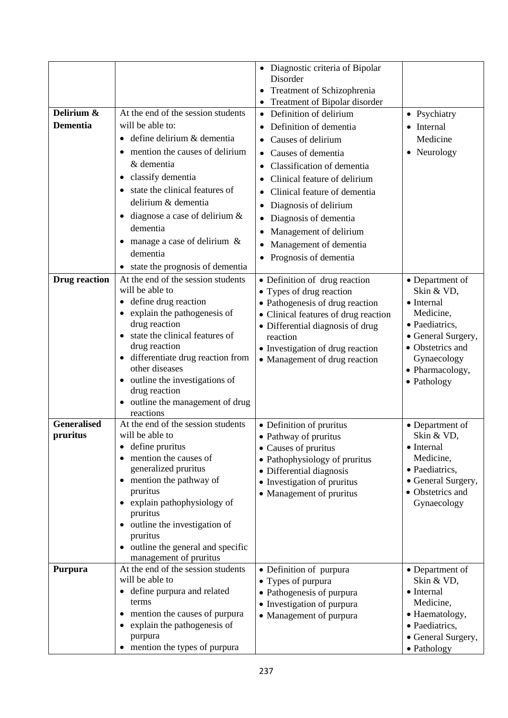|                      |                                              | • Diagnostic criteria of Bipolar     |                    |
|----------------------|----------------------------------------------|--------------------------------------|--------------------|
|                      |                                              | Disorder                             |                    |
|                      |                                              |                                      |                    |
|                      |                                              | Treatment of Schizophrenia<br>٠      |                    |
| Delirium &           | At the end of the session students           | Treatment of Bipolar disorder        |                    |
|                      |                                              | • Definition of delirium             | • Psychiatry       |
| <b>Dementia</b>      | will be able to:                             | Definition of dementia<br>$\bullet$  | Internal           |
|                      | define delirium & dementia                   | Causes of delirium<br>٠              | Medicine           |
|                      | mention the causes of delirium               | Causes of dementia<br>٠              | Neurology          |
|                      | & dementia                                   | Classification of dementia<br>٠      |                    |
|                      | classify dementia                            | Clinical feature of delirium         |                    |
|                      | state the clinical features of               | Clinical feature of dementia<br>٠    |                    |
|                      | delirium & dementia                          | Diagnosis of delirium<br>٠           |                    |
|                      | diagnose a case of delirium $\&$             | Diagnosis of dementia<br>٠           |                    |
|                      | dementia                                     | Management of delirium<br>٠          |                    |
|                      | manage a case of delirium $\&$               | Management of dementia<br>٠          |                    |
|                      | dementia                                     | Prognosis of dementia<br>٠           |                    |
|                      | state the prognosis of dementia<br>$\bullet$ |                                      |                    |
| <b>Drug reaction</b> | At the end of the session students           | • Definition of drug reaction        | • Department of    |
|                      | will be able to                              | • Types of drug reaction             | Skin & VD,         |
|                      | define drug reaction                         | • Pathogenesis of drug reaction      | • Internal         |
|                      | explain the pathogenesis of                  | • Clinical features of drug reaction | Medicine,          |
|                      | drug reaction                                | • Differential diagnosis of drug     | • Paediatrics,     |
|                      | state the clinical features of               | reaction                             | • General Surgery, |
|                      | drug reaction                                | • Investigation of drug reaction     | • Obstetrics and   |
|                      | differentiate drug reaction from             | • Management of drug reaction        | Gynaecology        |
|                      | other diseases                               |                                      | • Pharmacology,    |
|                      | outline the investigations of                |                                      | • Pathology        |
|                      | drug reaction                                |                                      |                    |
|                      | outline the management of drug<br>reactions  |                                      |                    |
|                      |                                              |                                      |                    |
| <b>Generalised</b>   | At the end of the session students           | • Definition of pruritus             | • Department of    |
| pruritus             | will be able to                              | • Pathway of pruritus                | Skin & VD,         |
|                      | define pruritus                              | • Causes of pruritus                 | • Internal         |
|                      | mention the causes of                        | • Pathophysiology of pruritus        | Medicine,          |
|                      | generalized pruritus                         | • Differential diagnosis             | • Paediatrics,     |
|                      | mention the pathway of<br>٠                  | • Investigation of pruritus          | • General Surgery, |
|                      | pruritus<br>explain pathophysiology of       | • Management of pruritus             | • Obstetrics and   |
|                      | $\bullet$<br>pruritus                        |                                      | Gynaecology        |
|                      | outline the investigation of                 |                                      |                    |
|                      | pruritus                                     |                                      |                    |
|                      | outline the general and specific             |                                      |                    |
|                      | management of pruritus                       |                                      |                    |
| <b>Purpura</b>       | At the end of the session students           | • Definition of purpura              | • Department of    |
|                      | will be able to                              | • Types of purpura                   | Skin & VD,         |
|                      | • define purpura and related                 | • Pathogenesis of purpura            | • Internal         |
|                      | terms                                        | • Investigation of purpura           | Medicine,          |
|                      | mention the causes of purpura<br>٠           | • Management of purpura              | • Haematology,     |
|                      | explain the pathogenesis of                  |                                      | • Paediatrics,     |
|                      | purpura                                      |                                      | • General Surgery, |
|                      | mention the types of purpura                 |                                      | • Pathology        |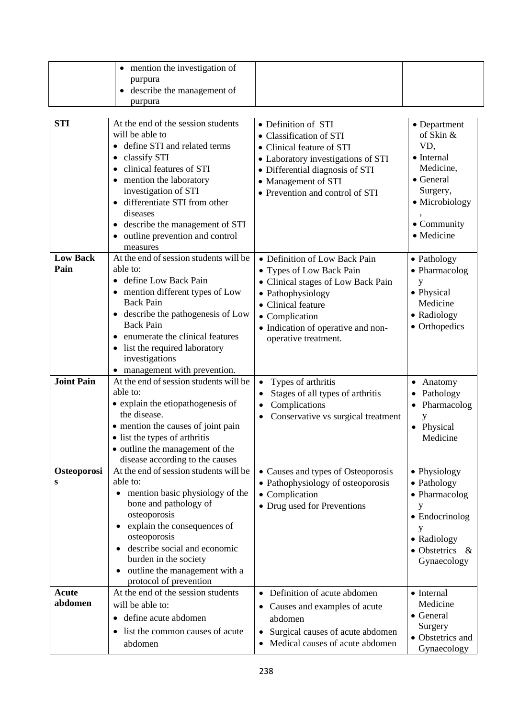|                         | • mention the investigation of<br>purpura<br>describe the management of<br>purpura                                                                                                                                                                                                                                                                                         |                                                                                                                                                                                                                            |                                                                                                                                     |
|-------------------------|----------------------------------------------------------------------------------------------------------------------------------------------------------------------------------------------------------------------------------------------------------------------------------------------------------------------------------------------------------------------------|----------------------------------------------------------------------------------------------------------------------------------------------------------------------------------------------------------------------------|-------------------------------------------------------------------------------------------------------------------------------------|
| <b>STI</b>              | At the end of the session students<br>will be able to<br>define STI and related terms<br>٠<br>classify STI<br>$\bullet$<br>clinical features of STI<br>$\bullet$<br>mention the laboratory<br>٠<br>investigation of STI<br>differentiate STI from other<br>$\bullet$<br>diseases<br>describe the management of STI<br>٠<br>outline prevention and control<br>٠<br>measures | • Definition of STI<br>• Classification of STI<br>• Clinical feature of STI<br>• Laboratory investigations of STI<br>• Differential diagnosis of STI<br>• Management of STI<br>• Prevention and control of STI             | • Department<br>of Skin &<br>VD,<br>• Internal<br>Medicine,<br>• General<br>Surgery,<br>• Microbiology<br>• Community<br>• Medicine |
| <b>Low Back</b><br>Pain | At the end of session students will be<br>able to:<br>define Low Back Pain<br>$\bullet$<br>mention different types of Low<br><b>Back Pain</b><br>describe the pathogenesis of Low<br>٠<br><b>Back Pain</b><br>enumerate the clinical features<br>$\bullet$<br>list the required laboratory<br>$\bullet$<br>investigations                                                  | • Definition of Low Back Pain<br>• Types of Low Back Pain<br>• Clinical stages of Low Back Pain<br>• Pathophysiology<br>• Clinical feature<br>• Complication<br>• Indication of operative and non-<br>operative treatment. | • Pathology<br>• Pharmacolog<br>y<br>• Physical<br>Medicine<br>• Radiology<br>• Orthopedics                                         |
| <b>Joint Pain</b>       | management with prevention.<br>At the end of session students will be<br>able to:<br>• explain the etiopathogenesis of<br>the disease.<br>• mention the causes of joint pain<br>• list the types of arthritis<br>• outline the management of the<br>disease according to the causes                                                                                        | Types of arthritis<br>$\bullet$<br>Stages of all types of arthritis<br>$\bullet$<br>Complications<br>$\bullet$<br>Conservative vs surgical treatment<br>$\bullet$                                                          | Anatomy<br>Pathology<br>٠<br>Pharmacolog<br>y<br>• Physical<br>Medicine                                                             |
| Osteoporosi<br>S        | At the end of session students will be<br>able to:<br>mention basic physiology of the<br>$\bullet$<br>bone and pathology of<br>osteoporosis<br>explain the consequences of<br>osteoporosis<br>describe social and economic<br>burden in the society<br>outline the management with a<br>protocol of prevention                                                             | • Causes and types of Osteoporosis<br>• Pathophysiology of osteoporosis<br>• Complication<br>• Drug used for Preventions                                                                                                   | • Physiology<br>• Pathology<br>• Pharmacolog<br>у<br>• Endocrinolog<br>у<br>• Radiology<br>$\bullet$ Obstetrics &<br>Gynaecology    |
| <b>Acute</b><br>abdomen | At the end of the session students<br>will be able to:<br>define acute abdomen<br>$\bullet$<br>list the common causes of acute<br>$\bullet$<br>abdomen                                                                                                                                                                                                                     | Definition of acute abdomen<br>$\bullet$<br>Causes and examples of acute<br>$\bullet$<br>abdomen<br>Surgical causes of acute abdomen<br>$\bullet$<br>Medical causes of acute abdomen<br>$\bullet$                          | • Internal<br>Medicine<br>• General<br>Surgery<br>• Obstetrics and<br>Gynaecology                                                   |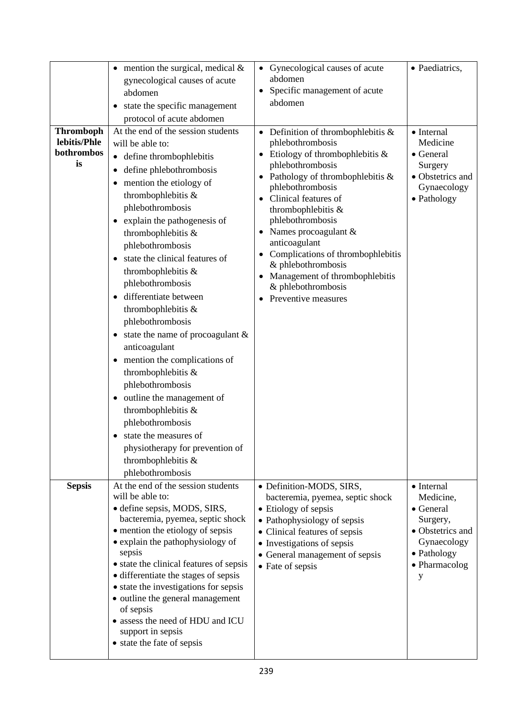|                                                      | mention the surgical, medical $\&$<br>gynecological causes of acute<br>abdomen<br>state the specific management<br>protocol of acute abdomen                                                                                                                                                                                                                                                                                                                                                                                                                                                                                                                                                                                              | • Gynecological causes of acute<br>abdomen<br>• Specific management of acute<br>abdomen                                                                                                                                                                                                                                                                                                                                             | • Paediatrics,                                                                                                           |
|------------------------------------------------------|-------------------------------------------------------------------------------------------------------------------------------------------------------------------------------------------------------------------------------------------------------------------------------------------------------------------------------------------------------------------------------------------------------------------------------------------------------------------------------------------------------------------------------------------------------------------------------------------------------------------------------------------------------------------------------------------------------------------------------------------|-------------------------------------------------------------------------------------------------------------------------------------------------------------------------------------------------------------------------------------------------------------------------------------------------------------------------------------------------------------------------------------------------------------------------------------|--------------------------------------------------------------------------------------------------------------------------|
| <b>Thromboph</b><br>lebitis/Phle<br>bothrombos<br>is | At the end of the session students<br>will be able to:<br>• define thrombophlebitis<br>define phlebothrombosis<br>٠<br>mention the etiology of<br>thrombophlebitis &<br>phlebothrombosis<br>explain the pathogenesis of<br>٠<br>thrombophlebitis &<br>phlebothrombosis<br>state the clinical features of<br>thrombophlebitis &<br>phlebothrombosis<br>differentiate between<br>$\bullet$<br>thrombophlebitis &<br>phlebothrombosis<br>state the name of procoagulant $\&$<br>٠<br>anticoagulant<br>mention the complications of<br>٠<br>thrombophlebitis &<br>phlebothrombosis<br>• outline the management of<br>thrombophlebitis &<br>phlebothrombosis<br>state the measures of<br>physiotherapy for prevention of<br>thrombophlebitis & | • Definition of thrombophlebitis $&$<br>phlebothrombosis<br>Etiology of thrombophlebitis $\&$<br>phlebothrombosis<br>• Pathology of thrombophlebitis $&$<br>phlebothrombosis<br>Clinical features of<br>thrombophlebitis &<br>phlebothrombosis<br>Names procoagulant &<br>anticoagulant<br>• Complications of thrombophlebitis<br>& phlebothrombosis<br>Management of thrombophlebitis<br>& phlebothrombosis<br>Preventive measures | • Internal<br>Medicine<br>• General<br>Surgery<br>• Obstetrics and<br>Gynaecology<br>• Pathology                         |
| <b>Sepsis</b>                                        | phlebothrombosis<br>At the end of the session students<br>will be able to:<br>· define sepsis, MODS, SIRS,<br>bacteremia, pyemea, septic shock<br>• mention the etiology of sepsis<br>• explain the pathophysiology of<br>sepsis<br>• state the clinical features of sepsis<br>• differentiate the stages of sepsis<br>• state the investigations for sepsis<br>• outline the general management<br>of sepsis<br>• assess the need of HDU and ICU<br>support in sepsis<br>• state the fate of sepsis                                                                                                                                                                                                                                      | · Definition-MODS, SIRS,<br>bacteremia, pyemea, septic shock<br>• Etiology of sepsis<br>• Pathophysiology of sepsis<br>• Clinical features of sepsis<br>• Investigations of sepsis<br>• General management of sepsis<br>• Fate of sepsis                                                                                                                                                                                            | • Internal<br>Medicine,<br>• General<br>Surgery,<br>• Obstetrics and<br>Gynaecology<br>• Pathology<br>• Pharmacolog<br>y |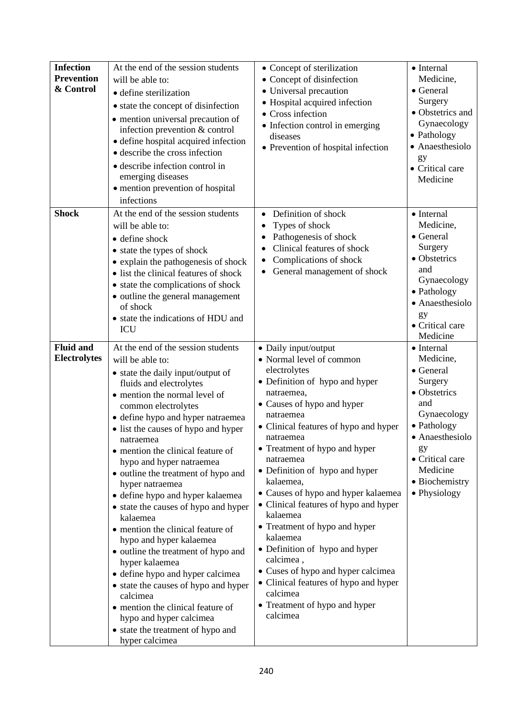| <b>Infection</b><br><b>Prevention</b><br>& Control | At the end of the session students<br>will be able to:<br>• define sterilization<br>• state the concept of disinfection<br>• mention universal precaution of<br>infection prevention & control<br>• define hospital acquired infection<br>• describe the cross infection<br>· describe infection control in<br>emerging diseases<br>• mention prevention of hospital<br>infections                                                                                                                                                                                                                                                                                                                                                                                                                                                 | • Concept of sterilization<br>• Concept of disinfection<br>• Universal precaution<br>• Hospital acquired infection<br>• Cross infection<br>• Infection control in emerging<br>diseases<br>• Prevention of hospital infection                                                                                                                                                                                                                                                                                                                                                                                                                   | • Internal<br>Medicine,<br>• General<br>Surgery<br>• Obstetrics and<br>Gynaecology<br>• Pathology<br>• Anaesthesiolo<br>gy<br>• Critical care<br>Medicine                                      |
|----------------------------------------------------|------------------------------------------------------------------------------------------------------------------------------------------------------------------------------------------------------------------------------------------------------------------------------------------------------------------------------------------------------------------------------------------------------------------------------------------------------------------------------------------------------------------------------------------------------------------------------------------------------------------------------------------------------------------------------------------------------------------------------------------------------------------------------------------------------------------------------------|------------------------------------------------------------------------------------------------------------------------------------------------------------------------------------------------------------------------------------------------------------------------------------------------------------------------------------------------------------------------------------------------------------------------------------------------------------------------------------------------------------------------------------------------------------------------------------------------------------------------------------------------|------------------------------------------------------------------------------------------------------------------------------------------------------------------------------------------------|
| <b>Shock</b>                                       | At the end of the session students<br>will be able to:<br>$\bullet$ define shock<br>• state the types of shock<br>• explain the pathogenesis of shock<br>• list the clinical features of shock<br>• state the complications of shock<br>• outline the general management<br>of shock<br>• state the indications of HDU and<br>ICU                                                                                                                                                                                                                                                                                                                                                                                                                                                                                                  | Definition of shock<br>$\bullet$<br>Types of shock<br>$\bullet$<br>Pathogenesis of shock<br>$\bullet$<br>Clinical features of shock<br>Complications of shock<br>General management of shock                                                                                                                                                                                                                                                                                                                                                                                                                                                   | • Internal<br>Medicine,<br>• General<br>Surgery<br>• Obstetrics<br>and<br>Gynaecology<br>• Pathology<br>• Anaesthesiolo<br>gy<br>• Critical care<br>Medicine                                   |
| <b>Fluid and</b><br><b>Electrolytes</b>            | At the end of the session students<br>will be able to:<br>• state the daily input/output of<br>fluids and electrolytes<br>• mention the normal level of<br>common electrolytes<br>• define hypo and hyper natraemea<br>• list the causes of hypo and hyper<br>natraemea<br>• mention the clinical feature of<br>hypo and hyper natraemea<br>• outline the treatment of hypo and<br>hyper natraemea<br>• define hypo and hyper kalaemea<br>• state the causes of hypo and hyper<br>kalaemea<br>• mention the clinical feature of<br>hypo and hyper kalaemea<br>• outline the treatment of hypo and<br>hyper kalaemea<br>• define hypo and hyper calcimea<br>• state the causes of hypo and hyper<br>calcimea<br>• mention the clinical feature of<br>hypo and hyper calcimea<br>• state the treatment of hypo and<br>hyper calcimea | • Daily input/output<br>• Normal level of common<br>electrolytes<br>• Definition of hypo and hyper<br>natraemea,<br>• Causes of hypo and hyper<br>natraemea<br>• Clinical features of hypo and hyper<br>natraemea<br>• Treatment of hypo and hyper<br>natraemea<br>• Definition of hypo and hyper<br>kalaemea,<br>• Causes of hypo and hyper kalaemea<br>• Clinical features of hypo and hyper<br>kalaemea<br>• Treatment of hypo and hyper<br>kalaemea<br>• Definition of hypo and hyper<br>calcimea,<br>• Cuses of hypo and hyper calcimea<br>• Clinical features of hypo and hyper<br>calcimea<br>• Treatment of hypo and hyper<br>calcimea | • Internal<br>Medicine,<br>• General<br>Surgery<br>• Obstetrics<br>and<br>Gynaecology<br>• Pathology<br>• Anaesthesiolo<br>gy<br>• Critical care<br>Medicine<br>• Biochemistry<br>• Physiology |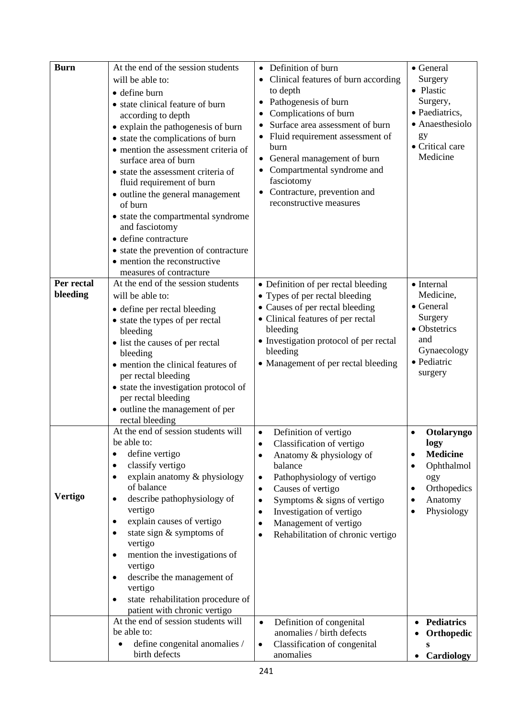| <b>Burn</b>            | At the end of the session students<br>will be able to:<br>• define burn<br>• state clinical feature of burn<br>according to depth<br>• explain the pathogenesis of burn<br>• state the complications of burn<br>• mention the assessment criteria of<br>surface area of burn<br>• state the assessment criteria of<br>fluid requirement of burn<br>• outline the general management<br>of burn<br>• state the compartmental syndrome<br>and fasciotomy<br>• define contracture<br>• state the prevention of contracture<br>• mention the reconstructive<br>measures of contracture | • Definition of burn<br>Clinical features of burn according<br>to depth<br>Pathogenesis of burn<br>Complications of burn<br>Surface area assessment of burn<br>Fluid requirement assessment of<br>burn<br>General management of burn<br>Compartmental syndrome and<br>fasciotomy<br>• Contracture, prevention and<br>reconstructive measures                         | • General<br>Surgery<br>• Plastic<br>Surgery,<br>· Paediatrics,<br>• Anaesthesiolo<br>gy<br>• Critical care<br>Medicine                          |
|------------------------|------------------------------------------------------------------------------------------------------------------------------------------------------------------------------------------------------------------------------------------------------------------------------------------------------------------------------------------------------------------------------------------------------------------------------------------------------------------------------------------------------------------------------------------------------------------------------------|----------------------------------------------------------------------------------------------------------------------------------------------------------------------------------------------------------------------------------------------------------------------------------------------------------------------------------------------------------------------|--------------------------------------------------------------------------------------------------------------------------------------------------|
| Per rectal<br>bleeding | At the end of the session students<br>will be able to:<br>• define per rectal bleeding<br>• state the types of per rectal<br>bleeding<br>• list the causes of per rectal<br>bleeding<br>• mention the clinical features of<br>per rectal bleeding<br>• state the investigation protocol of<br>per rectal bleeding<br>• outline the management of per<br>rectal bleeding                                                                                                                                                                                                            | • Definition of per rectal bleeding<br>• Types of per rectal bleeding<br>• Causes of per rectal bleeding<br>• Clinical features of per rectal<br>bleeding<br>• Investigation protocol of per rectal<br>bleeding<br>• Management of per rectal bleeding                                                                                                               | • Internal<br>Medicine,<br>• General<br>Surgery<br>• Obstetrics<br>and<br>Gynaecology<br>· Pediatric<br>surgery                                  |
| <b>Vertigo</b>         | At the end of session students will<br>be able to:<br>define vertigo<br>$\bullet$<br>classify vertigo<br>$\bullet$<br>explain anatomy & physiology<br>$\bullet$<br>of balance<br>describe pathophysiology of<br>$\bullet$<br>vertigo<br>explain causes of vertigo<br>$\bullet$<br>state sign & symptoms of<br>vertigo<br>mention the investigations of<br>$\bullet$<br>vertigo<br>describe the management of<br>٠<br>vertigo<br>state rehabilitation procedure of<br>$\bullet$<br>patient with chronic vertigo                                                                     | Definition of vertigo<br>$\bullet$<br>Classification of vertigo<br>Anatomy & physiology of<br>$\bullet$<br>balance<br>Pathophysiology of vertigo<br>٠<br>Causes of vertigo<br>$\bullet$<br>Symptoms & signs of vertigo<br>$\bullet$<br>Investigation of vertigo<br>$\bullet$<br>Management of vertigo<br>$\bullet$<br>Rehabilitation of chronic vertigo<br>$\bullet$ | <b>Otolaryngo</b><br>logy<br><b>Medicine</b><br>$\bullet$<br>Ophthalmol<br>$\bullet$<br>ogy<br>Orthopedics<br>$\bullet$<br>Anatomy<br>Physiology |
|                        | At the end of session students will<br>be able to:<br>define congenital anomalies /<br>birth defects                                                                                                                                                                                                                                                                                                                                                                                                                                                                               | Definition of congenital<br>$\bullet$<br>anomalies / birth defects<br>Classification of congenital<br>٠<br>anomalies                                                                                                                                                                                                                                                 | <b>Pediatrics</b><br>Orthopedic<br>S<br>Cardiology<br>٠                                                                                          |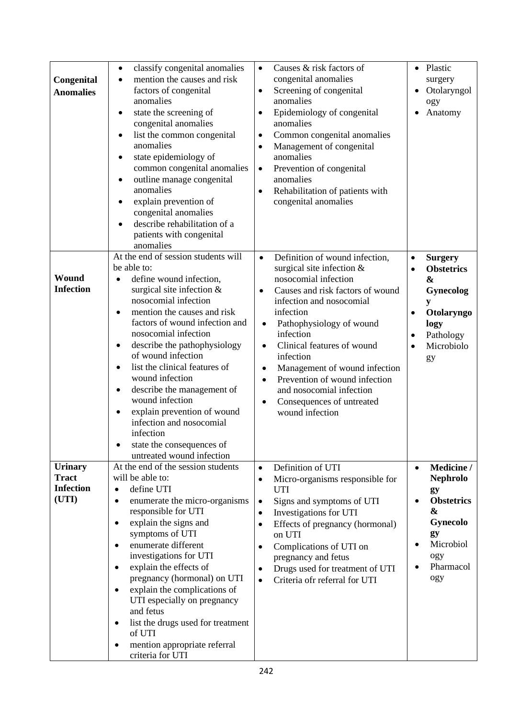| Congenital<br><b>Anomalies</b>                              | classify congenital anomalies<br>$\bullet$<br>mention the causes and risk<br>$\bullet$<br>factors of congenital<br>anomalies<br>state the screening of<br>٠<br>congenital anomalies<br>list the common congenital<br>$\bullet$<br>anomalies<br>state epidemiology of<br>$\bullet$<br>common congenital anomalies<br>outline manage congenital<br>٠<br>anomalies<br>explain prevention of<br>$\bullet$<br>congenital anomalies<br>describe rehabilitation of a<br>patients with congenital<br>anomalies                                                      | Causes & risk factors of<br>$\bullet$<br>congenital anomalies<br>Screening of congenital<br>٠<br>anomalies<br>Epidemiology of congenital<br>٠<br>anomalies<br>Common congenital anomalies<br>$\bullet$<br>Management of congenital<br>$\bullet$<br>anomalies<br>Prevention of congenital<br>$\bullet$<br>anomalies<br>Rehabilitation of patients with<br>$\bullet$<br>congenital anomalies                                                                                                      | Plastic<br>$\bullet$<br>surgery<br>Otolaryngol<br>ogy<br>Anatomy                                                                                                                                    |
|-------------------------------------------------------------|-------------------------------------------------------------------------------------------------------------------------------------------------------------------------------------------------------------------------------------------------------------------------------------------------------------------------------------------------------------------------------------------------------------------------------------------------------------------------------------------------------------------------------------------------------------|-------------------------------------------------------------------------------------------------------------------------------------------------------------------------------------------------------------------------------------------------------------------------------------------------------------------------------------------------------------------------------------------------------------------------------------------------------------------------------------------------|-----------------------------------------------------------------------------------------------------------------------------------------------------------------------------------------------------|
| Wound<br><b>Infection</b>                                   | At the end of session students will<br>be able to:<br>define wound infection,<br>surgical site infection $&$<br>nosocomial infection<br>mention the causes and risk<br>٠<br>factors of wound infection and<br>nosocomial infection<br>describe the pathophysiology<br>٠<br>of wound infection<br>list the clinical features of<br>٠<br>wound infection<br>describe the management of<br>$\bullet$<br>wound infection<br>explain prevention of wound<br>٠<br>infection and nosocomial<br>infection<br>state the consequences of<br>untreated wound infection | Definition of wound infection,<br>$\bullet$<br>surgical site infection $&$<br>nosocomial infection<br>Causes and risk factors of wound<br>$\bullet$<br>infection and nosocomial<br>infection<br>Pathophysiology of wound<br>$\bullet$<br>infection<br>Clinical features of wound<br>$\bullet$<br>infection<br>Management of wound infection<br>$\bullet$<br>Prevention of wound infection<br>$\bullet$<br>and nosocomial infection<br>Consequences of untreated<br>$\bullet$<br>wound infection | <b>Surgery</b><br>$\bullet$<br><b>Obstetrics</b><br>$\bullet$<br>$\boldsymbol{\&}$<br><b>Gynecolog</b><br>у<br><b>Otolaryngo</b><br>$\bullet$<br>logy<br>Pathology<br>$\bullet$<br>Microbiolo<br>gy |
| <b>Urinary</b><br><b>Tract</b><br><b>Infection</b><br>(UTI) | At the end of the session students<br>will be able to:<br>define UTI<br>$\bullet$<br>enumerate the micro-organisms<br>$\bullet$<br>responsible for UTI<br>explain the signs and<br>$\bullet$<br>symptoms of UTI<br>enumerate different<br>investigations for UTI<br>explain the effects of<br>$\bullet$<br>pregnancy (hormonal) on UTI<br>explain the complications of<br>$\bullet$<br>UTI especially on pregnancy<br>and fetus<br>list the drugs used for treatment<br>of UTI<br>mention appropriate referral<br>criteria for UTI                          | Definition of UTI<br>$\bullet$<br>Micro-organisms responsible for<br>$\bullet$<br><b>UTI</b><br>Signs and symptoms of UTI<br>$\bullet$<br>Investigations for UTI<br>$\bullet$<br>Effects of pregnancy (hormonal)<br>$\bullet$<br>on UTI<br>Complications of UTI on<br>٠<br>pregnancy and fetus<br>Drugs used for treatment of UTI<br>$\bullet$<br>Criteria ofr referral for UTI<br>$\bullet$                                                                                                    | Medicine /<br>$\bullet$<br><b>Nephrolo</b><br>gy<br><b>Obstetrics</b><br>$\bullet$<br>&<br>Gynecolo<br>gy<br>Microbiol<br>$\bullet$<br>ogy<br>Pharmacol<br>ogy                                      |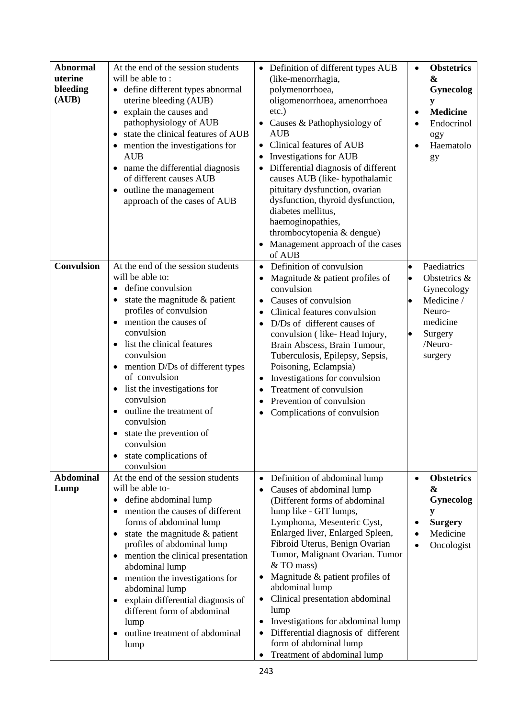| <b>Abnormal</b><br>uterine<br>bleeding<br>(AUB) | At the end of the session students<br>will be able to:<br>• define different types abnormal<br>uterine bleeding (AUB)<br>explain the causes and<br>$\bullet$<br>pathophysiology of AUB<br>state the clinical features of AUB<br>$\bullet$<br>mention the investigations for<br>$\bullet$<br><b>AUB</b><br>name the differential diagnosis<br>٠<br>of different causes AUB<br>outline the management<br>٠<br>approach of the cases of AUB                                                                                              | • Definition of different types AUB<br>(like-menorrhagia,<br>polymenorrhoea,<br>oligomenorrhoea, amenorrhoea<br>$etc.$ )<br>Causes & Pathophysiology of<br><b>AUB</b><br><b>Clinical features of AUB</b><br>$\bullet$<br>Investigations for AUB<br>Differential diagnosis of different<br>causes AUB (like-hypothalamic<br>pituitary dysfunction, ovarian<br>dysfunction, thyroid dysfunction,<br>diabetes mellitus,<br>haemoginopathies,<br>thrombocytopenia & dengue)<br>Management approach of the cases<br>of AUB                | <b>Obstetrics</b><br>$\bullet$<br>&<br><b>Gynecolog</b><br>у<br><b>Medicine</b><br>٠<br>Endocrinol<br>٠<br>ogy<br>Haematolo<br>$\bullet$<br>gy |
|-------------------------------------------------|---------------------------------------------------------------------------------------------------------------------------------------------------------------------------------------------------------------------------------------------------------------------------------------------------------------------------------------------------------------------------------------------------------------------------------------------------------------------------------------------------------------------------------------|--------------------------------------------------------------------------------------------------------------------------------------------------------------------------------------------------------------------------------------------------------------------------------------------------------------------------------------------------------------------------------------------------------------------------------------------------------------------------------------------------------------------------------------|------------------------------------------------------------------------------------------------------------------------------------------------|
| <b>Convulsion</b>                               | At the end of the session students<br>will be able to:<br>define convulsion<br>$\bullet$<br>state the magnitude $\&$ patient<br>٠<br>profiles of convulsion<br>mention the causes of<br>$\bullet$<br>convulsion<br>list the clinical features<br>$\bullet$<br>convulsion<br>$\bullet$ mention D/Ds of different types<br>of convulsion<br>list the investigations for<br>٠<br>convulsion<br>outline the treatment of<br>$\bullet$<br>convulsion<br>state the prevention of<br>convulsion<br>state complications of<br>٠<br>convulsion | Definition of convulsion<br>٠<br>Magnitude & patient profiles of<br>convulsion<br>Causes of convulsion<br>Clinical features convulsion<br>D/Ds of different causes of<br>convulsion (like-Head Injury,<br>Brain Abscess, Brain Tumour,<br>Tuberculosis, Epilepsy, Sepsis,<br>Poisoning, Eclampsia)<br>Investigations for convulsion<br>٠<br>Treatment of convulsion<br>Prevention of convulsion<br>Complications of convulsion                                                                                                       | Paediatrics<br>$\bullet$<br>Obstetrics &<br>$\bullet$<br>Gynecology<br>Medicine /<br>Neuro-<br>medicine<br>Surgery<br>٠<br>/Neuro-<br>surgery  |
| <b>Abdominal</b><br>Lump                        | At the end of the session students<br>will be able to-<br>define abdominal lump<br>٠<br>mention the causes of different<br>$\bullet$<br>forms of abdominal lump<br>state the magnitude $&$ patient<br>٠<br>profiles of abdominal lump<br>mention the clinical presentation<br>٠<br>abdominal lump<br>mention the investigations for<br>٠<br>abdominal lump<br>explain differential diagnosis of<br>$\bullet$<br>different form of abdominal<br>lump<br>outline treatment of abdominal<br>٠<br>lump                                    | Definition of abdominal lump<br>$\bullet$<br>Causes of abdominal lump<br>(Different forms of abdominal<br>lump like - GIT lumps,<br>Lymphoma, Mesenteric Cyst,<br>Enlarged liver, Enlarged Spleen,<br>Fibroid Uterus, Benign Ovarian<br>Tumor, Malignant Ovarian. Tumor<br>& TO mass)<br>Magnitude & patient profiles of<br>abdominal lump<br>Clinical presentation abdominal<br>lump<br>Investigations for abdominal lump<br>٠<br>Differential diagnosis of different<br>form of abdominal lump<br>Treatment of abdominal lump<br>٠ | <b>Obstetrics</b><br>$\bullet$<br>&<br>Gynecolog<br><b>Surgery</b><br>٠<br>Medicine<br>$\bullet$<br>Oncologist<br>$\bullet$                    |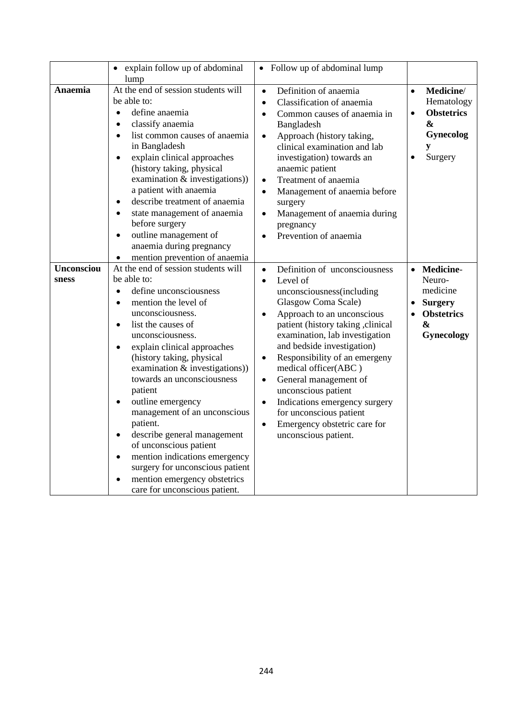|                            | explain follow up of abdominal<br>lump                                                                                                                                                                                                                                                                                                                                                                                                                                                                                                                                                                                                                                             | • Follow up of abdominal lump                                                                                                                                                                                                                                                                                                                                                                                                                                                                                                                             |                                                                                                                                              |
|----------------------------|------------------------------------------------------------------------------------------------------------------------------------------------------------------------------------------------------------------------------------------------------------------------------------------------------------------------------------------------------------------------------------------------------------------------------------------------------------------------------------------------------------------------------------------------------------------------------------------------------------------------------------------------------------------------------------|-----------------------------------------------------------------------------------------------------------------------------------------------------------------------------------------------------------------------------------------------------------------------------------------------------------------------------------------------------------------------------------------------------------------------------------------------------------------------------------------------------------------------------------------------------------|----------------------------------------------------------------------------------------------------------------------------------------------|
| <b>Anaemia</b>             | At the end of session students will<br>be able to:<br>define anaemia<br>$\bullet$<br>classify anaemia<br>$\bullet$<br>list common causes of anaemia<br>$\bullet$<br>in Bangladesh<br>explain clinical approaches<br>$\bullet$<br>(history taking, physical<br>examination & investigations))<br>a patient with anaemia<br>describe treatment of anaemia<br>$\bullet$<br>state management of anaemia<br>$\bullet$<br>before surgery<br>outline management of<br>$\bullet$<br>anaemia during pregnancy<br>mention prevention of anaemia                                                                                                                                              | Definition of anaemia<br>$\bullet$<br>Classification of anaemia<br>$\bullet$<br>Common causes of anaemia in<br>$\bullet$<br>Bangladesh<br>Approach (history taking,<br>$\bullet$<br>clinical examination and lab<br>investigation) towards an<br>anaemic patient<br>Treatment of anaemia<br>$\bullet$<br>Management of anaemia before<br>$\bullet$<br>surgery<br>Management of anaemia during<br>$\bullet$<br>pregnancy<br>Prevention of anaemia<br>$\bullet$                                                                                             | Medicine/<br>$\bullet$<br>Hematology<br><b>Obstetrics</b><br>$\bullet$<br>$\boldsymbol{\&}$<br><b>Gynecolog</b><br>y<br>Surgery<br>$\bullet$ |
| <b>Unconsciou</b><br>sness | At the end of session students will<br>be able to:<br>define unconsciousness<br>$\bullet$<br>mention the level of<br>$\bullet$<br>unconsciousness.<br>list the causes of<br>$\bullet$<br>unconsciousness.<br>explain clinical approaches<br>$\bullet$<br>(history taking, physical<br>examination $&$ investigations))<br>towards an unconsciousness<br>patient<br>outline emergency<br>$\bullet$<br>management of an unconscious<br>patient.<br>describe general management<br>$\bullet$<br>of unconscious patient<br>mention indications emergency<br>$\bullet$<br>surgery for unconscious patient<br>mention emergency obstetrics<br>$\bullet$<br>care for unconscious patient. | Definition of unconsciousness<br>$\bullet$<br>Level of<br>$\bullet$<br>unconsciousness(including<br>Glasgow Coma Scale)<br>Approach to an unconscious<br>$\bullet$<br>patient (history taking , clinical<br>examination, lab investigation<br>and bedside investigation)<br>Responsibility of an emergeny<br>$\bullet$<br>medical officer(ABC)<br>General management of<br>$\bullet$<br>unconscious patient<br>Indications emergency surgery<br>$\bullet$<br>for unconscious patient<br>Emergency obstetric care for<br>$\bullet$<br>unconscious patient. | <b>Medicine-</b><br>$\bullet$<br>Neuro-<br>medicine<br><b>Surgery</b><br><b>Obstetrics</b><br>$\bullet$<br>&<br><b>Gynecology</b>            |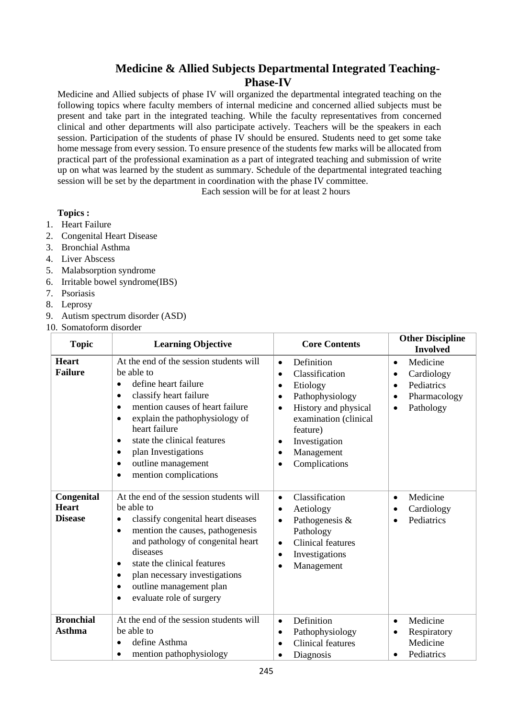# **Medicine & Allied Subjects Departmental Integrated Teaching-Phase-IV**

Medicine and Allied subjects of phase IV will organized the departmental integrated teaching on the following topics where faculty members of internal medicine and concerned allied subjects must be present and take part in the integrated teaching. While the faculty representatives from concerned clinical and other departments will also participate actively. Teachers will be the speakers in each session. Participation of the students of phase IV should be ensured. Students need to get some take home message from every session. To ensure presence of the students few marks will be allocated from practical part of the professional examination as a part of integrated teaching and submission of write up on what was learned by the student as summary. Schedule of the departmental integrated teaching session will be set by the department in coordination with the phase IV committee.

Each session will be for at least 2 hours

- 1. Heart Failure
- 2. Congenital Heart Disease
- 3. Bronchial Asthma
- 4. Liver Abscess
- 5. Malabsorption syndrome
- 6. Irritable bowel syndrome(IBS)
- 7. Psoriasis
- 8. Leprosy
- 9. Autism spectrum disorder (ASD)
- 10. Somatoform disorder

| <b>Topic</b>                                 | <b>Learning Objective</b>                                                                                                                                                                                                                                                                                                                                                                  | <b>Core Contents</b>                                                                                                                                                                                                                                             | <b>Other Discipline</b><br><b>Involved</b>                                                                         |
|----------------------------------------------|--------------------------------------------------------------------------------------------------------------------------------------------------------------------------------------------------------------------------------------------------------------------------------------------------------------------------------------------------------------------------------------------|------------------------------------------------------------------------------------------------------------------------------------------------------------------------------------------------------------------------------------------------------------------|--------------------------------------------------------------------------------------------------------------------|
| <b>Heart</b><br><b>Failure</b>               | At the end of the session students will<br>be able to<br>define heart failure<br>$\bullet$<br>classify heart failure<br>٠<br>mention causes of heart failure<br>$\bullet$<br>explain the pathophysiology of<br>$\bullet$<br>heart failure<br>state the clinical features<br>$\bullet$<br>plan Investigations<br>$\bullet$<br>outline management<br>$\bullet$<br>mention complications<br>٠ | Definition<br>$\bullet$<br>Classification<br>$\bullet$<br>Etiology<br>٠<br>Pathophysiology<br>$\bullet$<br>History and physical<br>$\bullet$<br>examination (clinical<br>feature)<br>Investigation<br>٠<br>Management<br>$\bullet$<br>Complications<br>$\bullet$ | Medicine<br>٠<br>Cardiology<br>$\bullet$<br>Pediatrics<br>$\bullet$<br>Pharmacology<br>٠<br>Pathology<br>$\bullet$ |
| Congenital<br><b>Heart</b><br><b>Disease</b> | At the end of the session students will<br>be able to<br>classify congenital heart diseases<br>٠<br>mention the causes, pathogenesis<br>$\bullet$<br>and pathology of congenital heart<br>diseases<br>state the clinical features<br>$\bullet$<br>plan necessary investigations<br>٠<br>outline management plan<br>$\bullet$<br>evaluate role of surgery<br>$\bullet$                      | Classification<br>$\bullet$<br>Aetiology<br>$\bullet$<br>Pathogenesis &<br>$\bullet$<br>Pathology<br><b>Clinical features</b><br>$\bullet$<br>Investigations<br>$\bullet$<br>Management                                                                          | Medicine<br>$\bullet$<br>Cardiology<br>Pediatrics                                                                  |
| <b>Bronchial</b><br><b>Asthma</b>            | At the end of the session students will<br>be able to<br>define Asthma<br>$\bullet$<br>mention pathophysiology                                                                                                                                                                                                                                                                             | Definition<br>$\bullet$<br>Pathophysiology<br>٠<br><b>Clinical features</b><br>$\bullet$<br>Diagnosis<br>$\bullet$                                                                                                                                               | Medicine<br>$\bullet$<br>Respiratory<br>$\bullet$<br>Medicine<br>Pediatrics<br>$\bullet$                           |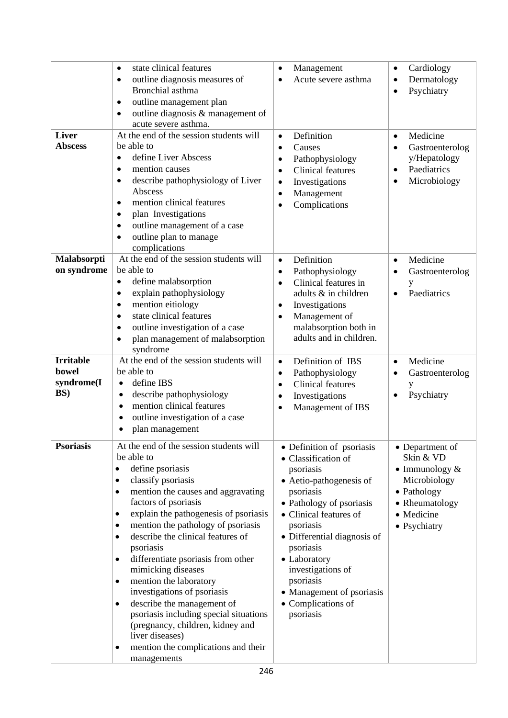| Liver<br><b>Abscess</b>                        | state clinical features<br>$\bullet$<br>outline diagnosis measures of<br>$\bullet$<br>Bronchial asthma<br>outline management plan<br>٠<br>outline diagnosis & management of<br>٠<br>acute severe asthma.<br>At the end of the session students will<br>be able to<br>define Liver Abscess<br>$\bullet$<br>mention causes<br>$\bullet$<br>describe pathophysiology of Liver<br>٠<br>Abscess<br>mention clinical features<br>$\bullet$<br>plan Investigations<br>$\bullet$<br>outline management of a case<br>٠<br>outline plan to manage<br>$\bullet$<br>complications                                                                                                                      | Management<br>$\bullet$<br>Acute severe asthma<br>$\bullet$<br>Definition<br>$\bullet$<br>Causes<br>$\bullet$<br>Pathophysiology<br>$\bullet$<br><b>Clinical features</b><br>$\bullet$<br>Investigations<br>$\bullet$<br>Management<br>٠<br>Complications<br>$\bullet$                                                                 | Cardiology<br>$\bullet$<br>Dermatology<br>$\bullet$<br>Psychiatry<br>$\bullet$<br>Medicine<br>$\bullet$<br>Gastroenterolog<br>$\bullet$<br>y/Hepatology<br>Paediatrics<br>$\bullet$<br>Microbiology<br>$\bullet$ |
|------------------------------------------------|--------------------------------------------------------------------------------------------------------------------------------------------------------------------------------------------------------------------------------------------------------------------------------------------------------------------------------------------------------------------------------------------------------------------------------------------------------------------------------------------------------------------------------------------------------------------------------------------------------------------------------------------------------------------------------------------|----------------------------------------------------------------------------------------------------------------------------------------------------------------------------------------------------------------------------------------------------------------------------------------------------------------------------------------|------------------------------------------------------------------------------------------------------------------------------------------------------------------------------------------------------------------|
| Malabsorpti<br>on syndrome                     | At the end of the session students will<br>be able to<br>define malabsorption<br>$\bullet$<br>explain pathophysiology<br>$\bullet$<br>mention eitiology<br>٠<br>state clinical features<br>$\bullet$<br>outline investigation of a case<br>٠<br>plan management of malabsorption<br>٠                                                                                                                                                                                                                                                                                                                                                                                                      | Definition<br>$\bullet$<br>Pathophysiology<br>$\bullet$<br>Clinical features in<br>$\bullet$<br>adults & in children<br>Investigations<br>$\bullet$<br>Management of<br>$\bullet$<br>malabsorption both in<br>adults and in children.                                                                                                  | Medicine<br>$\bullet$<br>Gastroenterolog<br>٠<br>y<br>Paediatrics<br>$\bullet$                                                                                                                                   |
| <b>Irritable</b><br>bowel<br>syndrome(I<br>BS) | syndrome<br>At the end of the session students will<br>be able to<br>define IBS<br>$\bullet$<br>describe pathophysiology<br>$\bullet$<br>mention clinical features<br>$\bullet$<br>outline investigation of a case<br>$\bullet$<br>plan management                                                                                                                                                                                                                                                                                                                                                                                                                                         | Definition of IBS<br>$\bullet$<br>Pathophysiology<br>٠<br><b>Clinical features</b><br>$\bullet$<br>Investigations<br>$\bullet$<br>Management of IBS<br>$\bullet$                                                                                                                                                                       | Medicine<br>$\bullet$<br>Gastroenterolog<br>٠<br>у<br>Psychiatry<br>٠                                                                                                                                            |
| <b>Psoriasis</b>                               | At the end of the session students will<br>be able to<br>define psoriasis<br>$\bullet$<br>classify psoriasis<br>$\bullet$<br>mention the causes and aggravating<br>٠<br>factors of psoriasis<br>explain the pathogenesis of psoriasis<br>$\bullet$<br>mention the pathology of psoriasis<br>٠<br>describe the clinical features of<br>٠<br>psoriasis<br>differentiate psoriasis from other<br>٠<br>mimicking diseases<br>mention the laboratory<br>$\bullet$<br>investigations of psoriasis<br>describe the management of<br>٠<br>psoriasis including special situations<br>(pregnancy, children, kidney and<br>liver diseases)<br>mention the complications and their<br>٠<br>managements | • Definition of psoriasis<br>• Classification of<br>psoriasis<br>• Aetio-pathogenesis of<br>psoriasis<br>• Pathology of psoriasis<br>• Clinical features of<br>psoriasis<br>• Differential diagnosis of<br>psoriasis<br>• Laboratory<br>investigations of<br>psoriasis<br>• Management of psoriasis<br>• Complications of<br>psoriasis | • Department of<br>Skin & VD<br>• Immunology $\&$<br>Microbiology<br>• Pathology<br>• Rheumatology<br>• Medicine<br>• Psychiatry                                                                                 |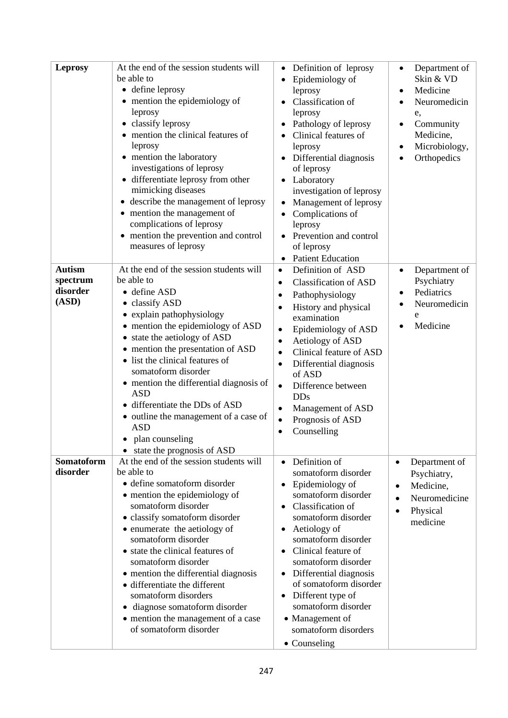| <b>Leprosy</b><br><b>Autism</b><br>spectrum<br>disorder<br>(ASD) | At the end of the session students will<br>be able to<br>• define leprosy<br>• mention the epidemiology of<br>leprosy<br>• classify leprosy<br>• mention the clinical features of<br>leprosy<br>• mention the laboratory<br>investigations of leprosy<br>• differentiate leprosy from other<br>mimicking diseases<br>describe the management of leprosy<br>٠<br>mention the management of<br>complications of leprosy<br>• mention the prevention and control<br>measures of leprosy<br>At the end of the session students will<br>be able to<br>· define ASD<br>· classify ASD<br>• explain pathophysiology<br>• mention the epidemiology of ASD<br>• state the aetiology of ASD<br>• mention the presentation of ASD<br>• list the clinical features of<br>somatoform disorder<br>• mention the differential diagnosis of<br><b>ASD</b><br>• differentiate the DDs of ASD<br>• outline the management of a case of<br><b>ASD</b><br>• plan counseling | Definition of leprosy<br>$\bullet$<br>Epidemiology of<br>$\bullet$<br>leprosy<br>Classification of<br>leprosy<br>Pathology of leprosy<br>Clinical features of<br>leprosy<br>Differential diagnosis<br>of leprosy<br>Laboratory<br>investigation of leprosy<br>Management of leprosy<br>Complications of<br>$\bullet$<br>leprosy<br>Prevention and control<br>of leprosy<br><b>Patient Education</b><br>$\bullet$<br>Definition of ASD<br>$\bullet$<br><b>Classification of ASD</b><br>$\bullet$<br>Pathophysiology<br>History and physical<br>٠<br>examination<br>Epidemiology of ASD<br>٠<br>Aetiology of ASD<br>٠<br>Clinical feature of ASD<br>$\bullet$<br>Differential diagnosis<br>٠<br>of ASD<br>Difference between<br>$\bullet$<br><b>DDs</b><br>Management of ASD<br>٠<br>Prognosis of ASD<br>$\bullet$<br>Counselling<br>$\bullet$ | Department of<br>$\bullet$<br>Skin & VD<br>Medicine<br>$\bullet$<br>Neuromedicin<br>e,<br>Community<br>$\bullet$<br>Medicine,<br>Microbiology,<br>$\bullet$<br>Orthopedics<br>Department of<br>$\bullet$<br>Psychiatry<br>Pediatrics<br>Neuromedicin<br>e<br>Medicine |
|------------------------------------------------------------------|---------------------------------------------------------------------------------------------------------------------------------------------------------------------------------------------------------------------------------------------------------------------------------------------------------------------------------------------------------------------------------------------------------------------------------------------------------------------------------------------------------------------------------------------------------------------------------------------------------------------------------------------------------------------------------------------------------------------------------------------------------------------------------------------------------------------------------------------------------------------------------------------------------------------------------------------------------|----------------------------------------------------------------------------------------------------------------------------------------------------------------------------------------------------------------------------------------------------------------------------------------------------------------------------------------------------------------------------------------------------------------------------------------------------------------------------------------------------------------------------------------------------------------------------------------------------------------------------------------------------------------------------------------------------------------------------------------------------------------------------------------------------------------------------------------------|-----------------------------------------------------------------------------------------------------------------------------------------------------------------------------------------------------------------------------------------------------------------------|
| Somatoform<br>disorder                                           | state the prognosis of ASD<br>At the end of the session students will<br>be able to<br>• define somatoform disorder<br>• mention the epidemiology of<br>somatoform disorder<br>• classify somatoform disorder<br>• enumerate the aetiology of<br>somatoform disorder<br>• state the clinical features of<br>somatoform disorder<br>• mention the differential diagnosis<br>• differentiate the different<br>somatoform disorders<br>· diagnose somatoform disorder<br>• mention the management of a case<br>of somatoform disorder                                                                                                                                                                                                                                                                                                                                                                                                                      | Definition of<br>$\bullet$<br>somatoform disorder<br>Epidemiology of<br>$\bullet$<br>somatoform disorder<br>Classification of<br>$\bullet$<br>somatoform disorder<br>Aetiology of<br>٠<br>somatoform disorder<br>Clinical feature of<br>$\bullet$<br>somatoform disorder<br>Differential diagnosis<br>٠<br>of somatoform disorder<br>Different type of<br>$\bullet$<br>somatoform disorder<br>• Management of<br>somatoform disorders<br>• Counseling                                                                                                                                                                                                                                                                                                                                                                                        | Department of<br>$\bullet$<br>Psychiatry,<br>Medicine,<br>$\bullet$<br>Neuromedicine<br>$\bullet$<br>Physical<br>medicine                                                                                                                                             |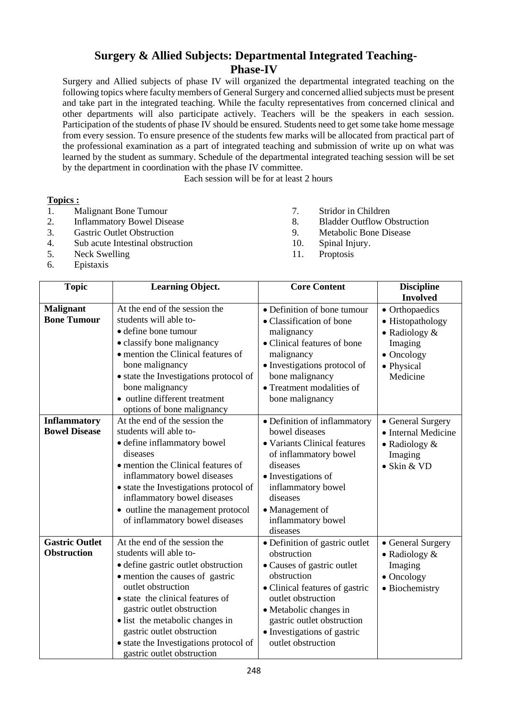# **Surgery & Allied Subjects: Departmental Integrated Teaching-Phase-IV**

Surgery and Allied subjects of phase IV will organized the departmental integrated teaching on the following topics where faculty members of General Surgery and concerned allied subjects must be present and take part in the integrated teaching. While the faculty representatives from concerned clinical and other departments will also participate actively. Teachers will be the speakers in each session. Participation of the students of phase IV should be ensured. Students need to get some take home message from every session. To ensure presence of the students few marks will be allocated from practical part of the professional examination as a part of integrated teaching and submission of write up on what was learned by the student as summary. Schedule of the departmental integrated teaching session will be set by the department in coordination with the phase IV committee.

Each session will be for at least 2 hours

- 1. Malignant Bone Tumour
- 2. Inflammatory Bowel Disease
- 3. Gastric Outlet Obstruction
- 4. Sub acute Intestinal obstruction
- 5. Neck Swelling
- 6. Epistaxis
- 7. Stridor in Children
- 8. Bladder Outflow Obstruction
- 9. Metabolic Bone Disease
- 10. Spinal Injury.
- 11. Proptosis

| <b>Topic</b>          | <b>Learning Object.</b>                | <b>Core Content</b>            | <b>Discipline</b>   |
|-----------------------|----------------------------------------|--------------------------------|---------------------|
|                       |                                        |                                | <b>Involved</b>     |
| <b>Malignant</b>      | At the end of the session the          | • Definition of bone tumour    | • Orthopaedics      |
| <b>Bone Tumour</b>    | students will able to-                 | • Classification of bone       | • Histopathology    |
|                       | • define bone tumour                   | malignancy                     | • Radiology $\&$    |
|                       | · classify bone malignancy             | • Clinical features of bone    | Imaging             |
|                       | • mention the Clinical features of     | malignancy                     | • Oncology          |
|                       | bone malignancy                        | · Investigations protocol of   | • Physical          |
|                       | • state the Investigations protocol of | bone malignancy                | Medicine            |
|                       | bone malignancy                        | • Treatment modalities of      |                     |
|                       | • outline different treatment          | bone malignancy                |                     |
|                       | options of bone malignancy             |                                |                     |
| <b>Inflammatory</b>   | At the end of the session the          | • Definition of inflammatory   | • General Surgery   |
| <b>Bowel Disease</b>  | students will able to-                 | bowel diseases                 | • Internal Medicine |
|                       | • define inflammatory bowel            | · Variants Clinical features   | • Radiology $\&$    |
|                       | diseases                               | of inflammatory bowel          | Imaging             |
|                       | • mention the Clinical features of     | diseases                       | • Skin & VD         |
|                       | inflammatory bowel diseases            | • Investigations of            |                     |
|                       | • state the Investigations protocol of | inflammatory bowel             |                     |
|                       | inflammatory bowel diseases            | diseases                       |                     |
|                       | • outline the management protocol      | • Management of                |                     |
|                       | of inflammatory bowel diseases         | inflammatory bowel             |                     |
|                       |                                        | diseases                       |                     |
| <b>Gastric Outlet</b> | At the end of the session the          | • Definition of gastric outlet | • General Surgery   |
| <b>Obstruction</b>    | students will able to-                 | obstruction                    | • Radiology $\&$    |
|                       | • define gastric outlet obstruction    | · Causes of gastric outlet     | Imaging             |
|                       | • mention the causes of gastric        | obstruction                    | $\bullet$ Oncology  |
|                       | outlet obstruction                     | • Clinical features of gastric | · Biochemistry      |
|                       | • state the clinical features of       | outlet obstruction             |                     |
|                       | gastric outlet obstruction             | • Metabolic changes in         |                     |
|                       | • list the metabolic changes in        | gastric outlet obstruction     |                     |
|                       | gastric outlet obstruction             | • Investigations of gastric    |                     |
|                       | • state the Investigations protocol of | outlet obstruction             |                     |
|                       | gastric outlet obstruction             |                                |                     |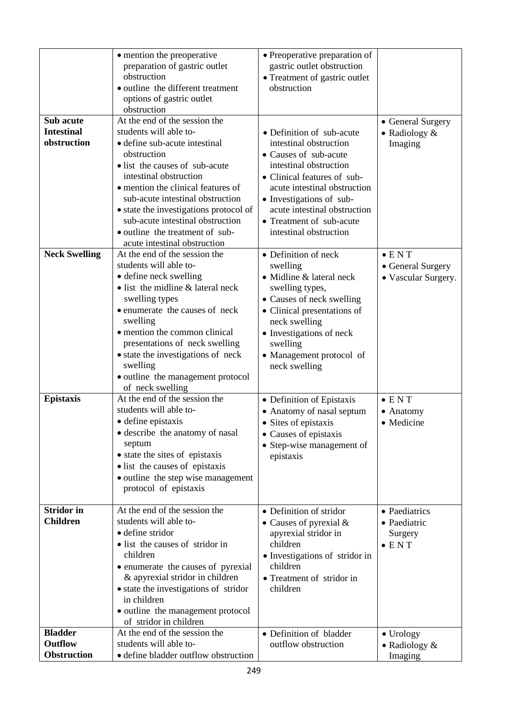|                                                        | • mention the preoperative<br>preparation of gastric outlet<br>obstruction<br>· outline the different treatment<br>options of gastric outlet<br>obstruction                                                                                                                                                                                                                                    | • Preoperative preparation of<br>gastric outlet obstruction<br>• Treatment of gastric outlet<br>obstruction                                                                                                                                                                             |                                                           |
|--------------------------------------------------------|------------------------------------------------------------------------------------------------------------------------------------------------------------------------------------------------------------------------------------------------------------------------------------------------------------------------------------------------------------------------------------------------|-----------------------------------------------------------------------------------------------------------------------------------------------------------------------------------------------------------------------------------------------------------------------------------------|-----------------------------------------------------------|
| Sub acute<br><b>Intestinal</b><br>obstruction          | At the end of the session the<br>students will able to-<br>• define sub-acute intestinal<br>obstruction<br>• list the causes of sub-acute<br>intestinal obstruction<br>• mention the clinical features of<br>sub-acute intestinal obstruction<br>• state the investigations protocol of<br>sub-acute intestinal obstruction<br>• outline the treatment of sub-<br>acute intestinal obstruction | • Definition of sub-acute<br>intestinal obstruction<br>• Causes of sub-acute<br>intestinal obstruction<br>• Clinical features of sub-<br>acute intestinal obstruction<br>• Investigations of sub-<br>acute intestinal obstruction<br>• Treatment of sub-acute<br>intestinal obstruction | • General Surgery<br>• Radiology $\&$<br>Imaging          |
| <b>Neck Swelling</b>                                   | At the end of the session the<br>students will able to-<br>• define neck swelling<br>• list the midline & lateral neck<br>swelling types<br>• enumerate the causes of neck<br>swelling<br>• mention the common clinical<br>presentations of neck swelling<br>• state the investigations of neck<br>swelling<br>• outline the management protocol<br>of neck swelling                           | • Definition of neck<br>swelling<br>• Midline & lateral neck<br>swelling types,<br>• Causes of neck swelling<br>• Clinical presentations of<br>neck swelling<br>• Investigations of neck<br>swelling<br>• Management protocol of<br>neck swelling                                       | $\bullet$ ENT<br>• General Surgery<br>• Vascular Surgery. |
| <b>Epistaxis</b>                                       | At the end of the session the<br>students will able to-<br>• define epistaxis<br>• describe the anatomy of nasal<br>septum<br>• state the sites of epistaxis<br>• list the causes of epistaxis<br>• outline the step wise management<br>protocol of epistaxis                                                                                                                                  | • Definition of Epistaxis<br>• Anatomy of nasal septum<br>• Sites of epistaxis<br>• Causes of epistaxis<br>• Step-wise management of<br>epistaxis                                                                                                                                       | $\bullet$ ENT<br>• Anatomy<br>• Medicine                  |
| <b>Stridor in</b><br><b>Children</b>                   | At the end of the session the<br>students will able to-<br>· define stridor<br>• list the causes of stridor in<br>children<br>• enumerate the causes of pyrexial<br>& apyrexial stridor in children<br>• state the investigations of stridor<br>in children<br>• outline the management protocol<br>of stridor in children                                                                     | • Definition of stridor<br>• Causes of pyrexial $&$<br>apyrexial stridor in<br>children<br>• Investigations of stridor in<br>children<br>• Treatment of stridor in<br>children                                                                                                          | • Paediatrics<br>• Paediatric<br>Surgery<br>$\bullet$ ENT |
| <b>Bladder</b><br><b>Outflow</b><br><b>Obstruction</b> | At the end of the session the<br>students will able to-<br>• define bladder outflow obstruction                                                                                                                                                                                                                                                                                                | • Definition of bladder<br>outflow obstruction                                                                                                                                                                                                                                          | • Urology<br>• Radiology $\&$<br>Imaging                  |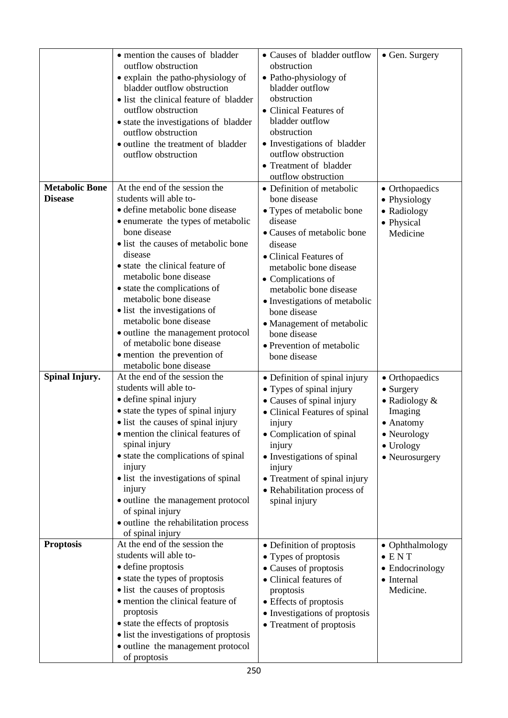|                       | • mention the causes of bladder                         | • Causes of bladder outflow                               | • Gen. Surgery                   |
|-----------------------|---------------------------------------------------------|-----------------------------------------------------------|----------------------------------|
|                       | outflow obstruction                                     | obstruction                                               |                                  |
|                       | • explain the patho-physiology of                       | • Patho-physiology of                                     |                                  |
|                       | bladder outflow obstruction                             | bladder outflow                                           |                                  |
|                       | • list the clinical feature of bladder                  | obstruction                                               |                                  |
|                       | outflow obstruction                                     | • Clinical Features of                                    |                                  |
|                       | • state the investigations of bladder                   | bladder outflow                                           |                                  |
|                       | outflow obstruction                                     | obstruction                                               |                                  |
|                       | • outline the treatment of bladder                      | • Investigations of bladder                               |                                  |
|                       | outflow obstruction                                     | outflow obstruction                                       |                                  |
|                       |                                                         | • Treatment of bladder<br>outflow obstruction             |                                  |
| <b>Metabolic Bone</b> | At the end of the session the                           | • Definition of metabolic                                 |                                  |
| <b>Disease</b>        | students will able to-                                  | bone disease                                              | • Orthopaedics<br>• Physiology   |
|                       | • define metabolic bone disease                         | • Types of metabolic bone                                 | • Radiology                      |
|                       | • enumerate the types of metabolic                      | disease                                                   | • Physical                       |
|                       | bone disease                                            | • Causes of metabolic bone                                | Medicine                         |
|                       | • list the causes of metabolic bone                     | disease                                                   |                                  |
|                       | disease                                                 | • Clinical Features of                                    |                                  |
|                       | • state the clinical feature of                         | metabolic bone disease                                    |                                  |
|                       | metabolic bone disease                                  | • Complications of                                        |                                  |
|                       | • state the complications of                            | metabolic bone disease                                    |                                  |
|                       | metabolic bone disease                                  | • Investigations of metabolic                             |                                  |
|                       | • list the investigations of                            | bone disease                                              |                                  |
|                       | metabolic bone disease                                  | • Management of metabolic                                 |                                  |
|                       | • outline the management protocol                       | bone disease                                              |                                  |
|                       | of metabolic bone disease                               | • Prevention of metabolic                                 |                                  |
|                       | • mention the prevention of                             | bone disease                                              |                                  |
| Spinal Injury.        | metabolic bone disease<br>At the end of the session the |                                                           |                                  |
|                       | students will able to-                                  | • Definition of spinal injury<br>• Types of spinal injury | • Orthopaedics<br>• Surgery      |
|                       | • define spinal injury                                  | • Causes of spinal injury                                 | • Radiology $\&$                 |
|                       | • state the types of spinal injury                      | • Clinical Features of spinal                             | Imaging                          |
|                       | • list the causes of spinal injury                      | injury                                                    | $\bullet$ Anatomy                |
|                       | • mention the clinical features of                      | • Complication of spinal                                  | • Neurology                      |
|                       | spinal injury                                           | injury                                                    | $\bullet$ Urology                |
|                       | • state the complications of spinal                     | • Investigations of spinal                                | • Neurosurgery                   |
|                       | injury                                                  | injury                                                    |                                  |
|                       | • list the investigations of spinal                     | • Treatment of spinal injury                              |                                  |
|                       | injury                                                  | • Rehabilitation process of                               |                                  |
|                       | • outline the management protocol                       | spinal injury                                             |                                  |
|                       | of spinal injury                                        |                                                           |                                  |
|                       | • outline the rehabilitation process                    |                                                           |                                  |
| <b>Proptosis</b>      | of spinal injury<br>At the end of the session the       |                                                           |                                  |
|                       | students will able to-                                  | • Definition of proptosis<br>• Types of proptosis         | • Ophthalmology<br>$\bullet$ ENT |
|                       | • define proptosis                                      | • Causes of proptosis                                     | • Endocrinology                  |
|                       | • state the types of proptosis                          | • Clinical features of                                    | • Internal                       |
|                       | • list the causes of proptosis                          | proptosis                                                 | Medicine.                        |
|                       | • mention the clinical feature of                       | • Effects of proptosis                                    |                                  |
|                       | proptosis                                               | • Investigations of proptosis                             |                                  |
|                       | • state the effects of proptosis                        | • Treatment of proptosis                                  |                                  |
|                       | • list the investigations of proptosis                  |                                                           |                                  |
|                       | • outline the management protocol                       |                                                           |                                  |
|                       | of proptosis                                            |                                                           |                                  |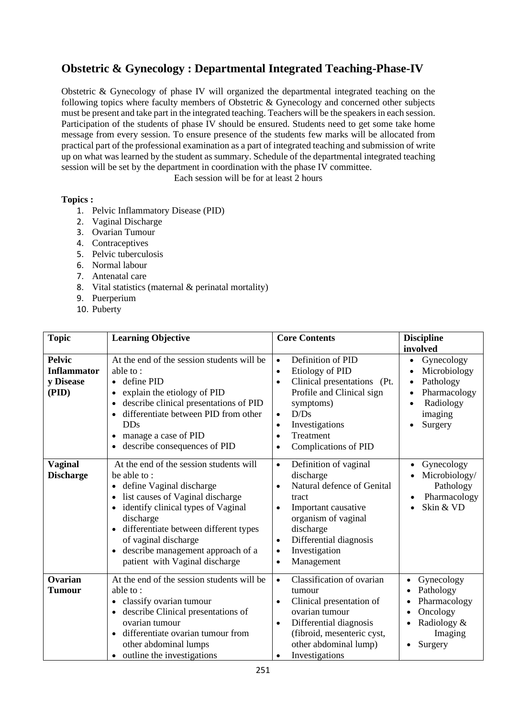# **Obstetric & Gynecology : Departmental Integrated Teaching-Phase-IV**

Obstetric & Gynecology of phase IV will organized the departmental integrated teaching on the following topics where faculty members of Obstetric & Gynecology and concerned other subjects must be present and take part in the integrated teaching. Teachers will be the speakers in each session. Participation of the students of phase IV should be ensured. Students need to get some take home message from every session. To ensure presence of the students few marks will be allocated from practical part of the professional examination as a part of integrated teaching and submission of write up on what was learned by the student as summary. Schedule of the departmental integrated teaching session will be set by the department in coordination with the phase IV committee.

Each session will be for at least 2 hours

- 1. Pelvic Inflammatory Disease (PID)
- 2. Vaginal Discharge
- 3. Ovarian Tumour
- 4. Contraceptives
- 5. Pelvic tuberculosis
- 6. Normal labour
- 7. Antenatal care
- 8. Vital statistics (maternal & perinatal mortality)
- 9. Puerperium
- 10. Puberty

| <b>Topic</b>                                              | <b>Learning Objective</b>                                                                                                                                                                                                                                                                                                   | <b>Core Contents</b>                                                                                                                                                                                                                                              | <b>Discipline</b>                                                                                                    |
|-----------------------------------------------------------|-----------------------------------------------------------------------------------------------------------------------------------------------------------------------------------------------------------------------------------------------------------------------------------------------------------------------------|-------------------------------------------------------------------------------------------------------------------------------------------------------------------------------------------------------------------------------------------------------------------|----------------------------------------------------------------------------------------------------------------------|
|                                                           |                                                                                                                                                                                                                                                                                                                             |                                                                                                                                                                                                                                                                   | involved                                                                                                             |
| <b>Pelvic</b><br><b>Inflammator</b><br>y Disease<br>(PID) | At the end of the session students will be<br>able to:<br>• define PID<br>explain the etiology of PID<br>describe clinical presentations of PID<br>differentiate between PID from other<br>DDs<br>manage a case of PID<br>$\bullet$<br>• describe consequences of PID                                                       | Definition of PID<br>$\bullet$<br>Etiology of PID<br>$\bullet$<br>Clinical presentations (Pt.<br>$\bullet$<br>Profile and Clinical sign<br>symptoms)<br>D/Ds<br>$\bullet$<br>Investigations<br>$\bullet$<br>Treatment<br><b>Complications of PID</b><br>$\bullet$ | Gynecology<br>$\bullet$<br>Microbiology<br>Pathology<br>$\bullet$<br>Pharmacology<br>Radiology<br>imaging<br>Surgery |
| <b>Vaginal</b><br><b>Discharge</b>                        | At the end of the session students will<br>be able to:<br>• define Vaginal discharge<br>• list causes of Vaginal discharge<br>• identify clinical types of Vaginal<br>discharge<br>• differentiate between different types<br>of vaginal discharge<br>• describe management approach of a<br>patient with Vaginal discharge | Definition of vaginal<br>$\bullet$<br>discharge<br>Natural defence of Genital<br>$\bullet$<br>tract<br>Important causative<br>organism of vaginal<br>discharge<br>Differential diagnosis<br>$\bullet$<br>Investigation<br>$\bullet$<br>Management<br>$\bullet$    | Gynecology<br>$\bullet$<br>Microbiology/<br>Pathology<br>Pharmacology<br>$\bullet$<br>Skin & VD                      |
| Ovarian<br><b>Tumour</b>                                  | At the end of the session students will be<br>able to:<br>• classify ovarian tumour<br>• describe Clinical presentations of<br>ovarian tumour<br>• differentiate ovarian tumour from<br>other abdominal lumps<br>• outline the investigations                                                                               | Classification of ovarian<br>$\bullet$<br>tumour<br>Clinical presentation of<br>$\bullet$<br>ovarian tumour<br>Differential diagnosis<br>$\bullet$<br>(fibroid, mesenteric cyst,<br>other abdominal lump)<br>Investigations<br>$\bullet$                          | Gynecology<br>Pathology<br>Pharmacology<br>Oncology<br>Radiology &<br>Imaging<br>Surgery                             |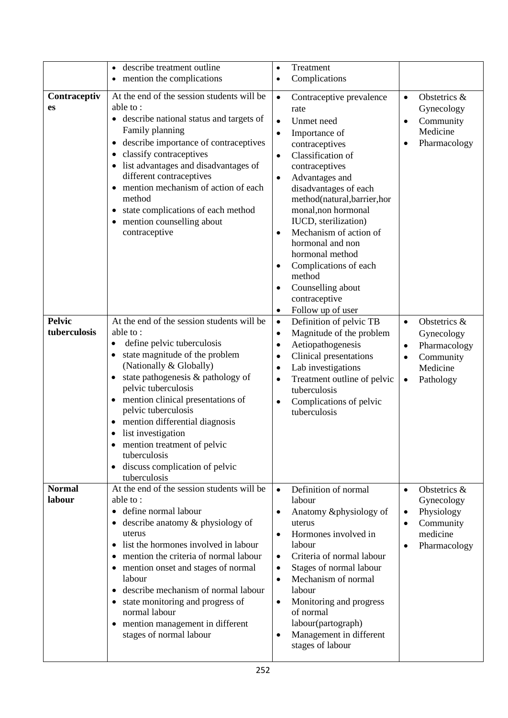|                                                     | describe treatment outline<br>mention the complications                                                                                                                                                                                                                                                                                                                                                                                                                                                                                                                                                                                                                                                                                                                                                                                                      | Treatment<br>$\bullet$<br>Complications<br>$\bullet$                                                                                                                                                                                                                                                                                                                                                                                                                                                                                                                                                                                                                                                                                                                                                                                  |                                                                                                                                                                                                                                            |
|-----------------------------------------------------|--------------------------------------------------------------------------------------------------------------------------------------------------------------------------------------------------------------------------------------------------------------------------------------------------------------------------------------------------------------------------------------------------------------------------------------------------------------------------------------------------------------------------------------------------------------------------------------------------------------------------------------------------------------------------------------------------------------------------------------------------------------------------------------------------------------------------------------------------------------|---------------------------------------------------------------------------------------------------------------------------------------------------------------------------------------------------------------------------------------------------------------------------------------------------------------------------------------------------------------------------------------------------------------------------------------------------------------------------------------------------------------------------------------------------------------------------------------------------------------------------------------------------------------------------------------------------------------------------------------------------------------------------------------------------------------------------------------|--------------------------------------------------------------------------------------------------------------------------------------------------------------------------------------------------------------------------------------------|
| Contraceptiv<br>es<br><b>Pelvic</b><br>tuberculosis | At the end of the session students will be<br>able to:<br>• describe national status and targets of<br>Family planning<br>• describe importance of contraceptives<br>classify contraceptives<br>$\bullet$<br>• list advantages and disadvantages of<br>different contraceptives<br>mention mechanism of action of each<br>method<br>state complications of each method<br>$\bullet$<br>mention counselling about<br>$\bullet$<br>contraceptive<br>At the end of the session students will be<br>able to:<br>define pelvic tuberculosis<br>$\bullet$<br>state magnitude of the problem<br>(Nationally & Globally)<br>state pathogenesis & pathology of<br>pelvic tuberculosis<br>mention clinical presentations of<br>$\bullet$<br>pelvic tuberculosis<br>mention differential diagnosis<br>list investigation<br>mention treatment of pelvic<br>tuberculosis | Contraceptive prevalence<br>$\bullet$<br>rate<br>Unmet need<br>$\bullet$<br>Importance of<br>$\bullet$<br>contraceptives<br>Classification of<br>$\bullet$<br>contraceptives<br>Advantages and<br>$\bullet$<br>disadvantages of each<br>method(natural,barrier,hor<br>monal, non hormonal<br>IUCD, sterilization)<br>Mechanism of action of<br>$\bullet$<br>hormonal and non<br>hormonal method<br>Complications of each<br>٠<br>method<br>Counselling about<br>٠<br>contraceptive<br>Follow up of user<br>$\bullet$<br>Definition of pelvic TB<br>$\bullet$<br>Magnitude of the problem<br>$\bullet$<br>Aetiopathogenesis<br>$\bullet$<br>Clinical presentations<br>$\bullet$<br>Lab investigations<br>$\bullet$<br>Treatment outline of pelvic<br>$\bullet$<br>tuberculosis<br>Complications of pelvic<br>$\bullet$<br>tuberculosis | Obstetrics &<br>$\bullet$<br>Gynecology<br>Community<br>$\bullet$<br>Medicine<br>Pharmacology<br>с<br>Obstetrics &<br>$\bullet$<br>Gynecology<br>Pharmacology<br>$\bullet$<br>Community<br>$\bullet$<br>Medicine<br>Pathology<br>$\bullet$ |
| <b>Normal</b><br>labour                             | discuss complication of pelvic<br>$\bullet$<br>tuberculosis<br>At the end of the session students will be<br>able to:<br>define normal labour<br>$\bullet$<br>describe anatomy & physiology of<br>uterus<br>list the hormones involved in labour<br>mention the criteria of normal labour<br>• mention onset and stages of normal<br>labour<br>describe mechanism of normal labour<br>$\bullet$<br>state monitoring and progress of<br>normal labour<br>mention management in different<br>stages of normal labour                                                                                                                                                                                                                                                                                                                                           | Definition of normal<br>$\bullet$<br>labour<br>Anatomy &physiology of<br>٠<br>uterus<br>Hormones involved in<br>$\bullet$<br>labour<br>Criteria of normal labour<br>$\bullet$<br>Stages of normal labour<br>٠<br>Mechanism of normal<br>$\bullet$<br>labour<br>Monitoring and progress<br>$\bullet$<br>of normal<br>labour(partograph)<br>Management in different<br>$\bullet$<br>stages of labour                                                                                                                                                                                                                                                                                                                                                                                                                                    | Obstetrics &<br>$\bullet$<br>Gynecology<br>Physiology<br>$\bullet$<br>Community<br>$\bullet$<br>medicine<br>Pharmacology                                                                                                                   |